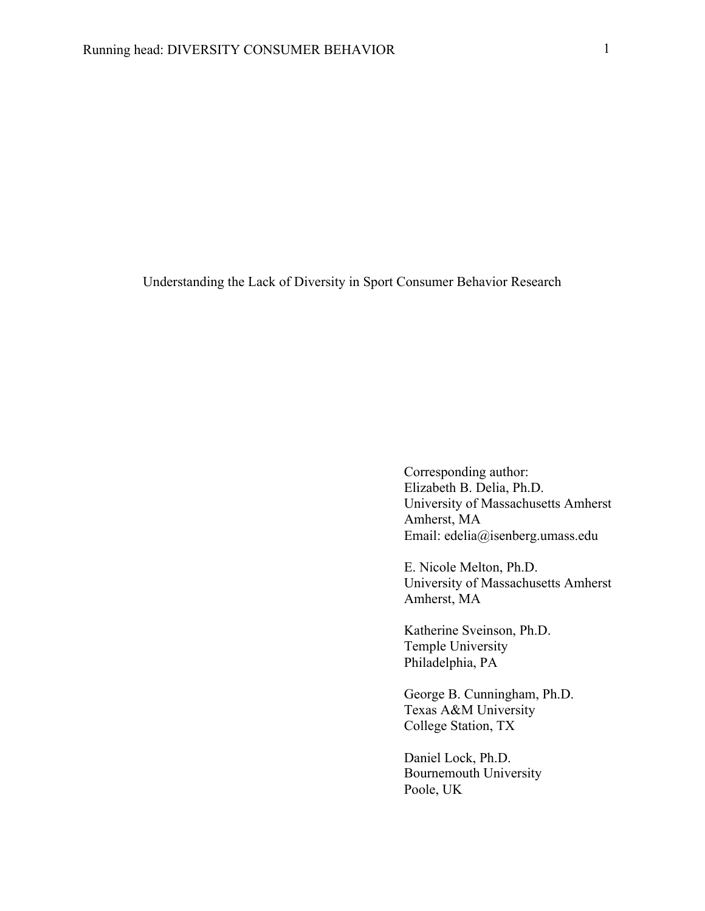Understanding the Lack of Diversity in Sport Consumer Behavior Research

Corresponding author: Elizabeth B. Delia, Ph.D. University of Massachusetts Amherst Amherst, MA Email: edelia@isenberg.umass.edu

E. Nicole Melton, Ph.D. University of Massachusetts Amherst Amherst, MA

Katherine Sveinson, Ph.D. Temple University Philadelphia, PA

George B. Cunningham, Ph.D. Texas A&M University College Station, TX

Daniel Lock, Ph.D. Bournemouth University Poole, UK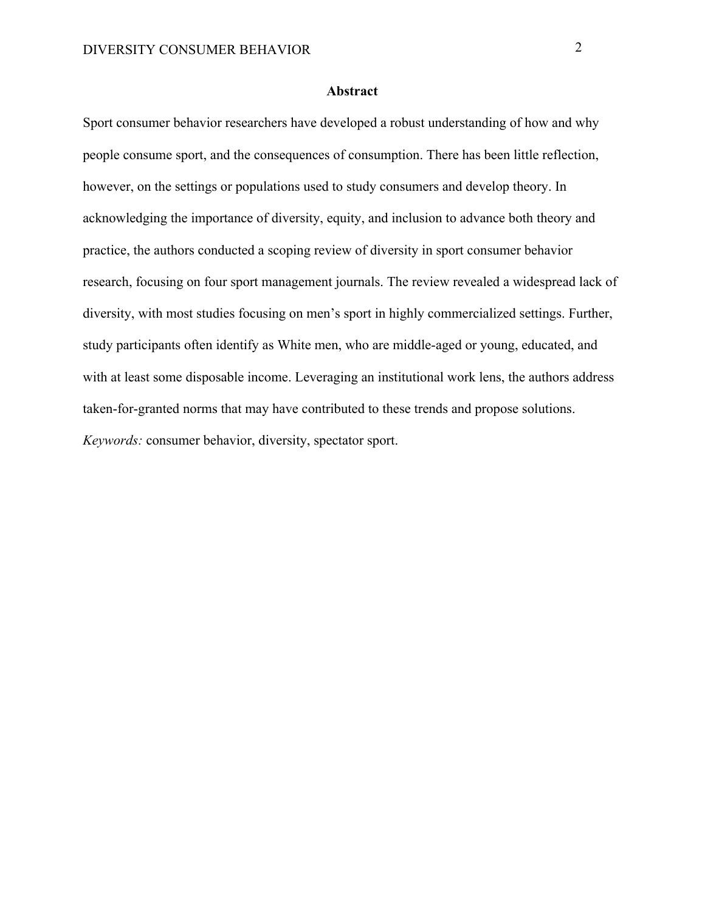### **Abstract**

Sport consumer behavior researchers have developed a robust understanding of how and why people consume sport, and the consequences of consumption. There has been little reflection, however, on the settings or populations used to study consumers and develop theory. In acknowledging the importance of diversity, equity, and inclusion to advance both theory and practice, the authors conducted a scoping review of diversity in sport consumer behavior research, focusing on four sport management journals. The review revealed a widespread lack of diversity, with most studies focusing on men's sport in highly commercialized settings. Further, study participants often identify as White men, who are middle-aged or young, educated, and with at least some disposable income. Leveraging an institutional work lens, the authors address taken-for-granted norms that may have contributed to these trends and propose solutions. *Keywords:* consumer behavior, diversity, spectator sport.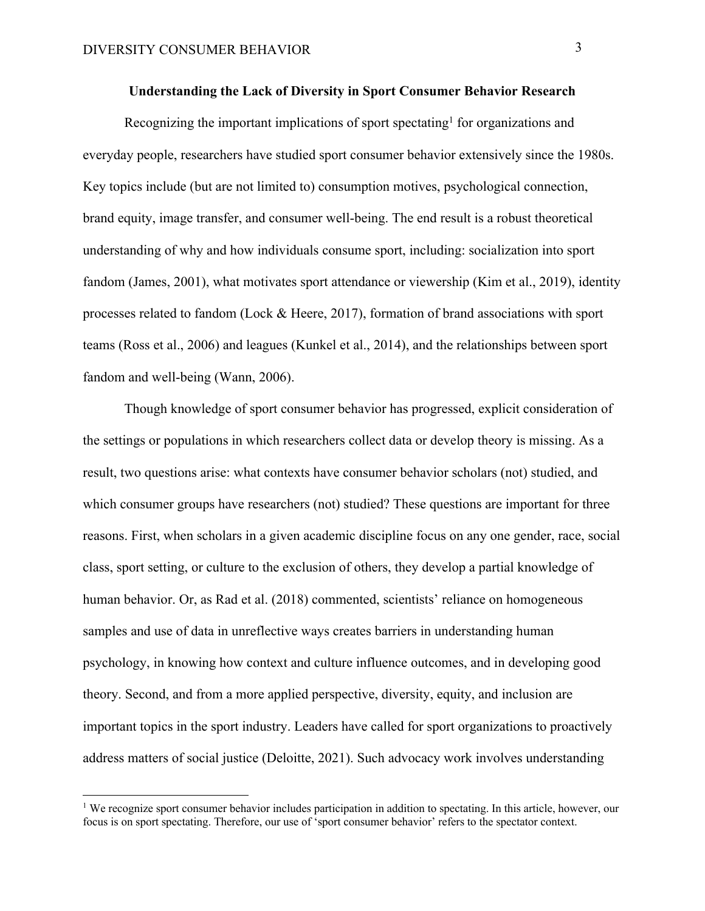## **Understanding the Lack of Diversity in Sport Consumer Behavior Research**

Recognizing the important implications of sport spectating<sup>1</sup> for organizations and everyday people, researchers have studied sport consumer behavior extensively since the 1980s. Key topics include (but are not limited to) consumption motives, psychological connection, brand equity, image transfer, and consumer well-being. The end result is a robust theoretical understanding of why and how individuals consume sport, including: socialization into sport fandom (James, 2001), what motivates sport attendance or viewership (Kim et al., 2019), identity processes related to fandom (Lock & Heere, 2017), formation of brand associations with sport teams (Ross et al., 2006) and leagues (Kunkel et al., 2014), and the relationships between sport fandom and well-being (Wann, 2006).

Though knowledge of sport consumer behavior has progressed, explicit consideration of the settings or populations in which researchers collect data or develop theory is missing. As a result, two questions arise: what contexts have consumer behavior scholars (not) studied, and which consumer groups have researchers (not) studied? These questions are important for three reasons. First, when scholars in a given academic discipline focus on any one gender, race, social class, sport setting, or culture to the exclusion of others, they develop a partial knowledge of human behavior. Or, as Rad et al. (2018) commented, scientists' reliance on homogeneous samples and use of data in unreflective ways creates barriers in understanding human psychology, in knowing how context and culture influence outcomes, and in developing good theory. Second, and from a more applied perspective, diversity, equity, and inclusion are important topics in the sport industry. Leaders have called for sport organizations to proactively address matters of social justice (Deloitte, 2021). Such advocacy work involves understanding

<sup>&</sup>lt;sup>1</sup> We recognize sport consumer behavior includes participation in addition to spectating. In this article, however, our focus is on sport spectating. Therefore, our use of 'sport consumer behavior' refers to the spectator context.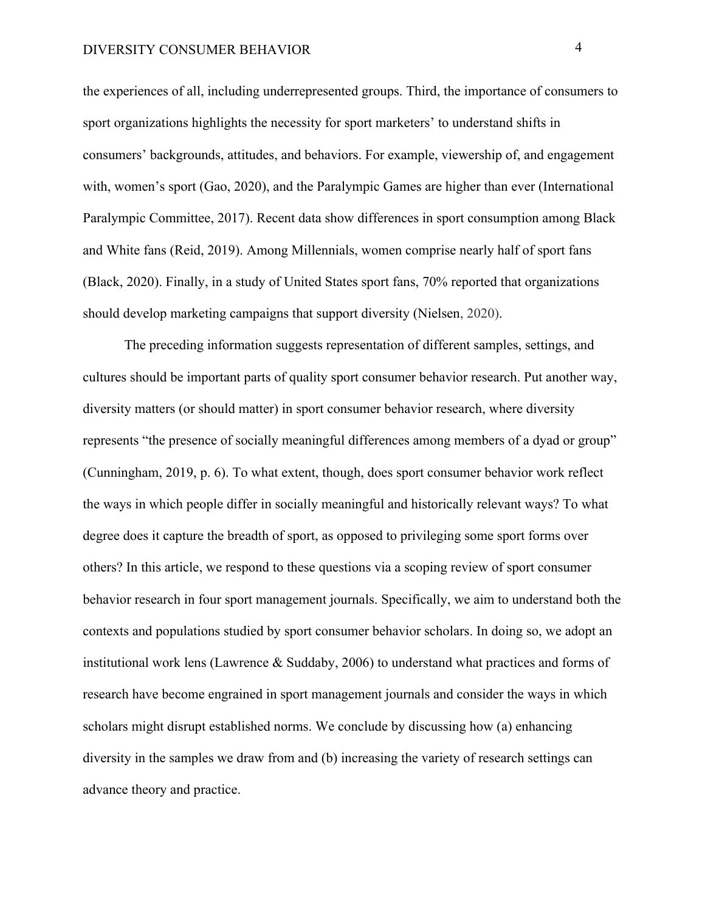the experiences of all, including underrepresented groups. Third, the importance of consumers to sport organizations highlights the necessity for sport marketers' to understand shifts in consumers' backgrounds, attitudes, and behaviors. For example, viewership of, and engagement with, women's sport (Gao, 2020), and the Paralympic Games are higher than ever (International Paralympic Committee, 2017). Recent data show differences in sport consumption among Black and White fans (Reid, 2019). Among Millennials, women comprise nearly half of sport fans (Black, 2020). Finally, in a study of United States sport fans, 70% reported that organizations should develop marketing campaigns that support diversity (Nielsen, 2020).

The preceding information suggests representation of different samples, settings, and cultures should be important parts of quality sport consumer behavior research. Put another way, diversity matters (or should matter) in sport consumer behavior research, where diversity represents "the presence of socially meaningful differences among members of a dyad or group" (Cunningham, 2019, p. 6). To what extent, though, does sport consumer behavior work reflect the ways in which people differ in socially meaningful and historically relevant ways? To what degree does it capture the breadth of sport, as opposed to privileging some sport forms over others? In this article, we respond to these questions via a scoping review of sport consumer behavior research in four sport management journals. Specifically, we aim to understand both the contexts and populations studied by sport consumer behavior scholars. In doing so, we adopt an institutional work lens (Lawrence & Suddaby, 2006) to understand what practices and forms of research have become engrained in sport management journals and consider the ways in which scholars might disrupt established norms. We conclude by discussing how (a) enhancing diversity in the samples we draw from and (b) increasing the variety of research settings can advance theory and practice.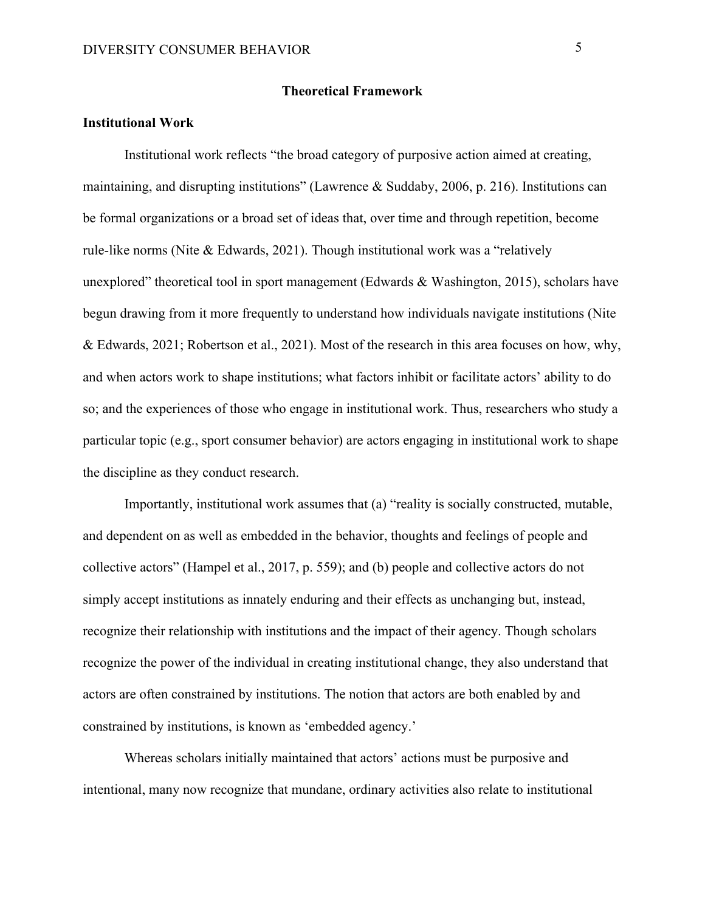#### **Theoretical Framework**

## **Institutional Work**

Institutional work reflects "the broad category of purposive action aimed at creating, maintaining, and disrupting institutions" (Lawrence & Suddaby, 2006, p. 216). Institutions can be formal organizations or a broad set of ideas that, over time and through repetition, become rule-like norms (Nite & Edwards, 2021). Though institutional work was a "relatively unexplored" theoretical tool in sport management (Edwards & Washington, 2015), scholars have begun drawing from it more frequently to understand how individuals navigate institutions (Nite & Edwards, 2021; Robertson et al., 2021). Most of the research in this area focuses on how, why, and when actors work to shape institutions; what factors inhibit or facilitate actors' ability to do so; and the experiences of those who engage in institutional work. Thus, researchers who study a particular topic (e.g., sport consumer behavior) are actors engaging in institutional work to shape the discipline as they conduct research.

Importantly, institutional work assumes that (a) "reality is socially constructed, mutable, and dependent on as well as embedded in the behavior, thoughts and feelings of people and collective actors" (Hampel et al., 2017, p. 559); and (b) people and collective actors do not simply accept institutions as innately enduring and their effects as unchanging but, instead, recognize their relationship with institutions and the impact of their agency. Though scholars recognize the power of the individual in creating institutional change, they also understand that actors are often constrained by institutions. The notion that actors are both enabled by and constrained by institutions, is known as 'embedded agency.'

Whereas scholars initially maintained that actors' actions must be purposive and intentional, many now recognize that mundane, ordinary activities also relate to institutional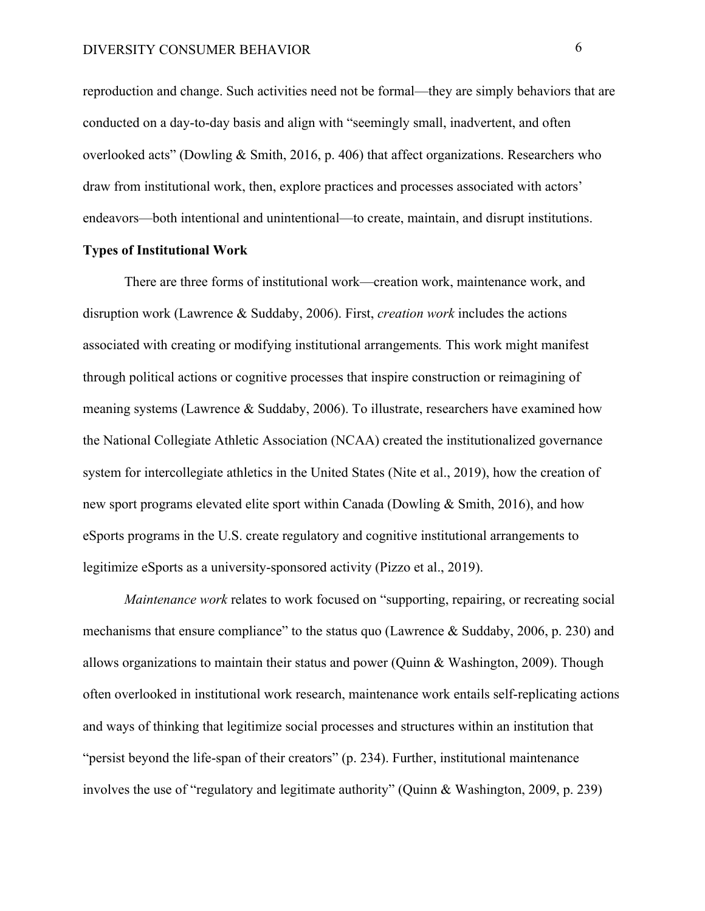reproduction and change. Such activities need not be formal—they are simply behaviors that are conducted on a day-to-day basis and align with "seemingly small, inadvertent, and often overlooked acts" (Dowling & Smith, 2016, p. 406) that affect organizations. Researchers who draw from institutional work, then, explore practices and processes associated with actors' endeavors—both intentional and unintentional—to create, maintain, and disrupt institutions.

## **Types of Institutional Work**

There are three forms of institutional work—creation work, maintenance work, and disruption work (Lawrence & Suddaby, 2006). First, *creation work* includes the actions associated with creating or modifying institutional arrangements*.* This work might manifest through political actions or cognitive processes that inspire construction or reimagining of meaning systems (Lawrence & Suddaby, 2006). To illustrate, researchers have examined how the National Collegiate Athletic Association (NCAA) created the institutionalized governance system for intercollegiate athletics in the United States (Nite et al., 2019), how the creation of new sport programs elevated elite sport within Canada (Dowling & Smith, 2016), and how eSports programs in the U.S. create regulatory and cognitive institutional arrangements to legitimize eSports as a university-sponsored activity (Pizzo et al., 2019).

*Maintenance work* relates to work focused on "supporting, repairing, or recreating social mechanisms that ensure compliance" to the status quo (Lawrence & Suddaby, 2006, p. 230) and allows organizations to maintain their status and power (Quinn & Washington, 2009). Though often overlooked in institutional work research, maintenance work entails self-replicating actions and ways of thinking that legitimize social processes and structures within an institution that "persist beyond the life-span of their creators" (p. 234). Further, institutional maintenance involves the use of "regulatory and legitimate authority" (Quinn & Washington, 2009, p. 239)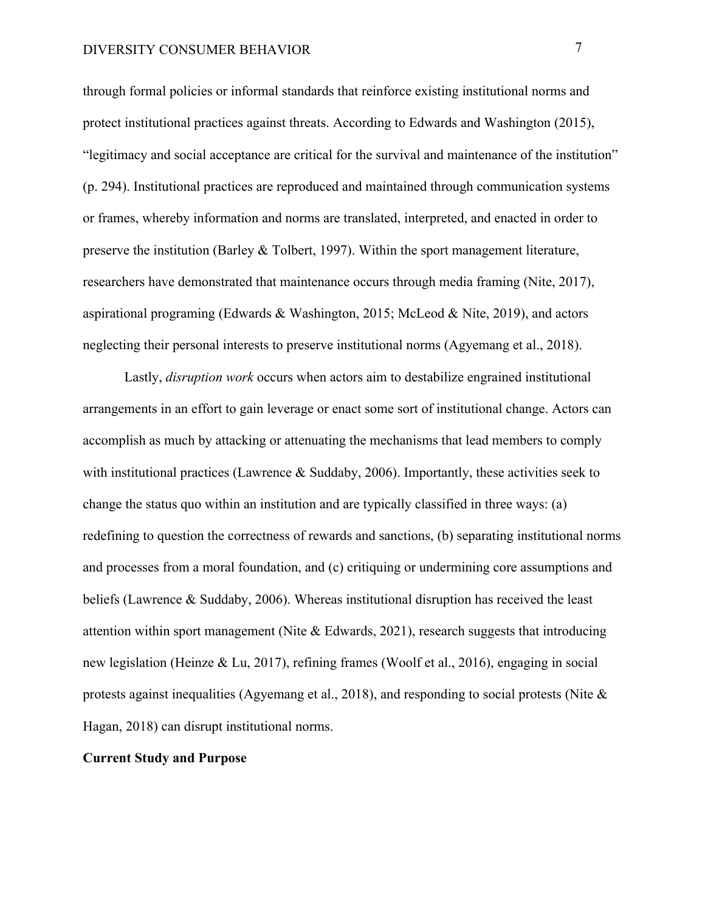through formal policies or informal standards that reinforce existing institutional norms and protect institutional practices against threats. According to Edwards and Washington (2015), "legitimacy and social acceptance are critical for the survival and maintenance of the institution" (p. 294). Institutional practices are reproduced and maintained through communication systems or frames, whereby information and norms are translated, interpreted, and enacted in order to preserve the institution (Barley & Tolbert, 1997). Within the sport management literature, researchers have demonstrated that maintenance occurs through media framing (Nite, 2017), aspirational programing (Edwards & Washington, 2015; McLeod & Nite, 2019), and actors neglecting their personal interests to preserve institutional norms (Agyemang et al., 2018).

Lastly, *disruption work* occurs when actors aim to destabilize engrained institutional arrangements in an effort to gain leverage or enact some sort of institutional change. Actors can accomplish as much by attacking or attenuating the mechanisms that lead members to comply with institutional practices (Lawrence & Suddaby, 2006). Importantly, these activities seek to change the status quo within an institution and are typically classified in three ways: (a) redefining to question the correctness of rewards and sanctions, (b) separating institutional norms and processes from a moral foundation, and (c) critiquing or undermining core assumptions and beliefs (Lawrence & Suddaby, 2006). Whereas institutional disruption has received the least attention within sport management (Nite & Edwards, 2021), research suggests that introducing new legislation (Heinze & Lu, 2017), refining frames (Woolf et al., 2016), engaging in social protests against inequalities (Agyemang et al., 2018), and responding to social protests (Nite & Hagan, 2018) can disrupt institutional norms.

## **Current Study and Purpose**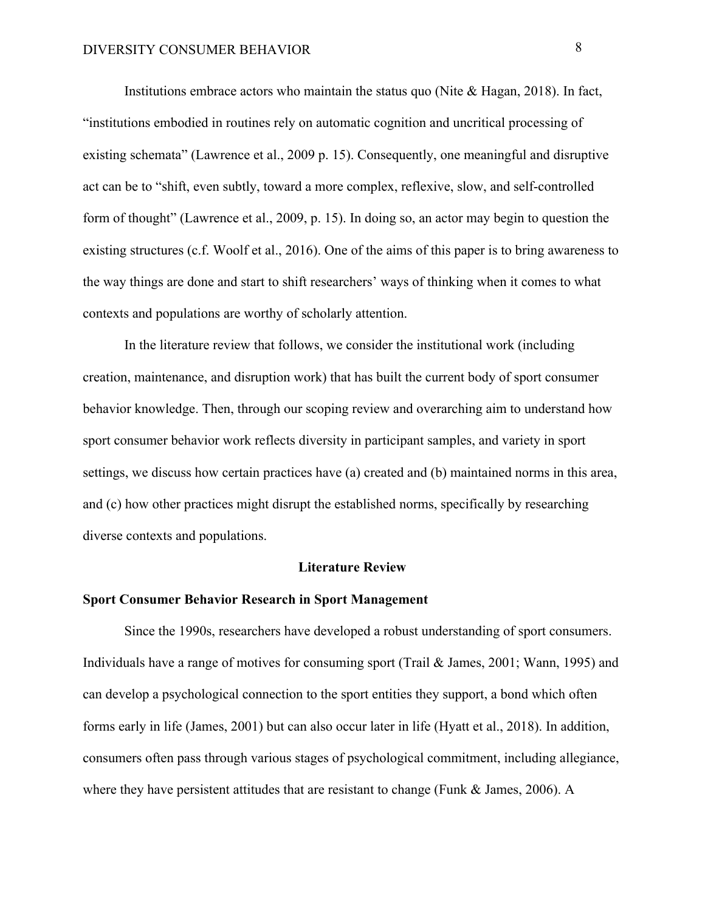Institutions embrace actors who maintain the status quo (Nite & Hagan, 2018). In fact, "institutions embodied in routines rely on automatic cognition and uncritical processing of existing schemata" (Lawrence et al., 2009 p. 15). Consequently, one meaningful and disruptive act can be to "shift, even subtly, toward a more complex, reflexive, slow, and self-controlled form of thought" (Lawrence et al., 2009, p. 15). In doing so, an actor may begin to question the existing structures (c.f. Woolf et al., 2016). One of the aims of this paper is to bring awareness to the way things are done and start to shift researchers' ways of thinking when it comes to what contexts and populations are worthy of scholarly attention.

In the literature review that follows, we consider the institutional work (including creation, maintenance, and disruption work) that has built the current body of sport consumer behavior knowledge. Then, through our scoping review and overarching aim to understand how sport consumer behavior work reflects diversity in participant samples, and variety in sport settings, we discuss how certain practices have (a) created and (b) maintained norms in this area, and (c) how other practices might disrupt the established norms, specifically by researching diverse contexts and populations.

#### **Literature Review**

## **Sport Consumer Behavior Research in Sport Management**

Since the 1990s, researchers have developed a robust understanding of sport consumers. Individuals have a range of motives for consuming sport (Trail & James, 2001; Wann, 1995) and can develop a psychological connection to the sport entities they support, a bond which often forms early in life (James, 2001) but can also occur later in life (Hyatt et al., 2018). In addition, consumers often pass through various stages of psychological commitment, including allegiance, where they have persistent attitudes that are resistant to change (Funk & James, 2006). A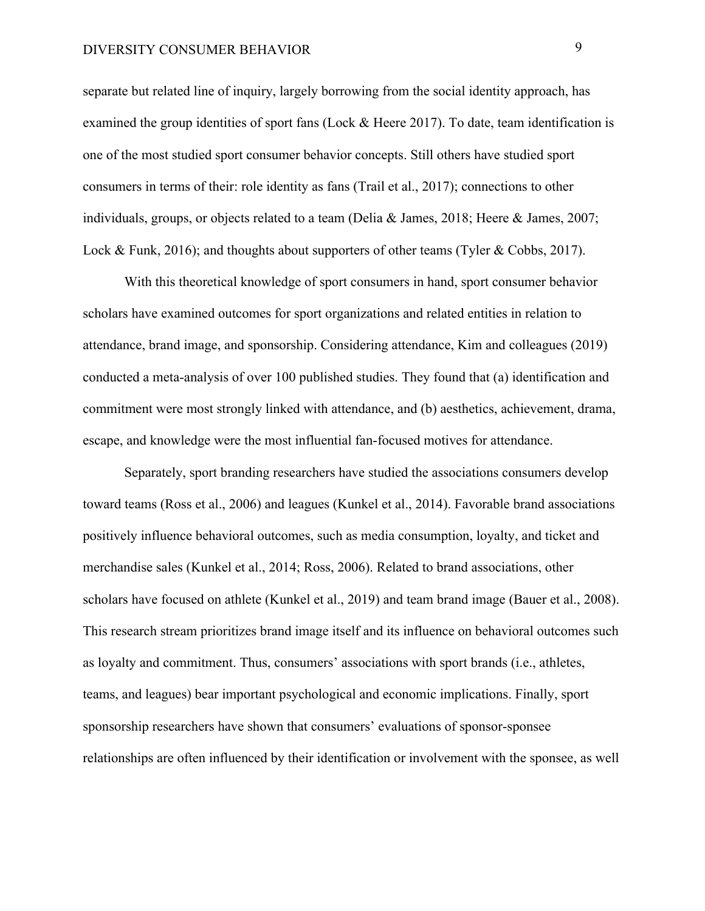## DIVERSITY CONSUMER BEHAVIOR 9

separate but related line of inquiry, largely borrowing from the social identity approach, has examined the group identities of sport fans (Lock & Heere 2017). To date, team identification is one of the most studied sport consumer behavior concepts. Still others have studied sport consumers in terms of their: role identity as fans (Trail et al., 2017); connections to other individuals, groups, or objects related to a team (Delia & James, 2018; Heere & James, 2007; Lock & Funk, 2016); and thoughts about supporters of other teams (Tyler & Cobbs, 2017).

With this theoretical knowledge of sport consumers in hand, sport consumer behavior scholars have examined outcomes for sport organizations and related entities in relation to attendance, brand image, and sponsorship. Considering attendance, Kim and colleagues (2019) conducted a meta-analysis of over 100 published studies. They found that (a) identification and commitment were most strongly linked with attendance, and (b) aesthetics, achievement, drama, escape, and knowledge were the most influential fan-focused motives for attendance.

Separately, sport branding researchers have studied the associations consumers develop toward teams (Ross et al., 2006) and leagues (Kunkel et al., 2014). Favorable brand associations positively influence behavioral outcomes, such as media consumption, loyalty, and ticket and merchandise sales (Kunkel et al., 2014; Ross, 2006). Related to brand associations, other scholars have focused on athlete (Kunkel et al., 2019) and team brand image (Bauer et al., 2008). This research stream prioritizes brand image itself and its influence on behavioral outcomes such as loyalty and commitment. Thus, consumers' associations with sport brands (i.e., athletes, teams, and leagues) bear important psychological and economic implications. Finally, sport sponsorship researchers have shown that consumers' evaluations of sponsor-sponsee relationships are often influenced by their identification or involvement with the sponsee, as well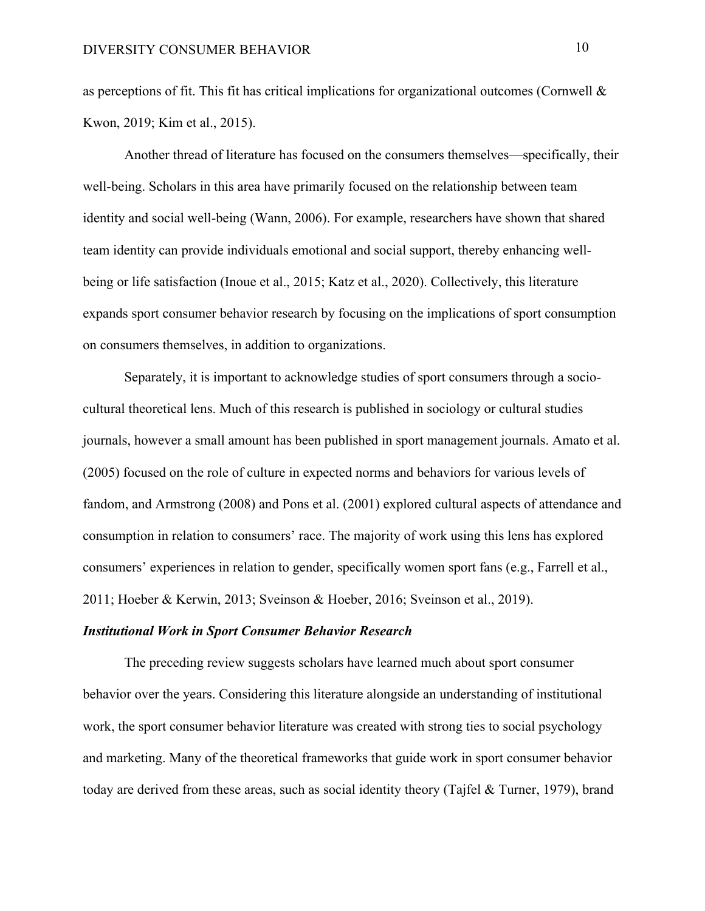as perceptions of fit. This fit has critical implications for organizational outcomes (Cornwell & Kwon, 2019; Kim et al., 2015).

Another thread of literature has focused on the consumers themselves—specifically, their well-being. Scholars in this area have primarily focused on the relationship between team identity and social well-being (Wann, 2006). For example, researchers have shown that shared team identity can provide individuals emotional and social support, thereby enhancing wellbeing or life satisfaction (Inoue et al., 2015; Katz et al., 2020). Collectively, this literature expands sport consumer behavior research by focusing on the implications of sport consumption on consumers themselves, in addition to organizations.

Separately, it is important to acknowledge studies of sport consumers through a sociocultural theoretical lens. Much of this research is published in sociology or cultural studies journals, however a small amount has been published in sport management journals. Amato et al. (2005) focused on the role of culture in expected norms and behaviors for various levels of fandom, and Armstrong (2008) and Pons et al. (2001) explored cultural aspects of attendance and consumption in relation to consumers' race. The majority of work using this lens has explored consumers' experiences in relation to gender, specifically women sport fans (e.g., Farrell et al., 2011; Hoeber & Kerwin, 2013; Sveinson & Hoeber, 2016; Sveinson et al., 2019).

## *Institutional Work in Sport Consumer Behavior Research*

The preceding review suggests scholars have learned much about sport consumer behavior over the years. Considering this literature alongside an understanding of institutional work, the sport consumer behavior literature was created with strong ties to social psychology and marketing. Many of the theoretical frameworks that guide work in sport consumer behavior today are derived from these areas, such as social identity theory (Tajfel & Turner, 1979), brand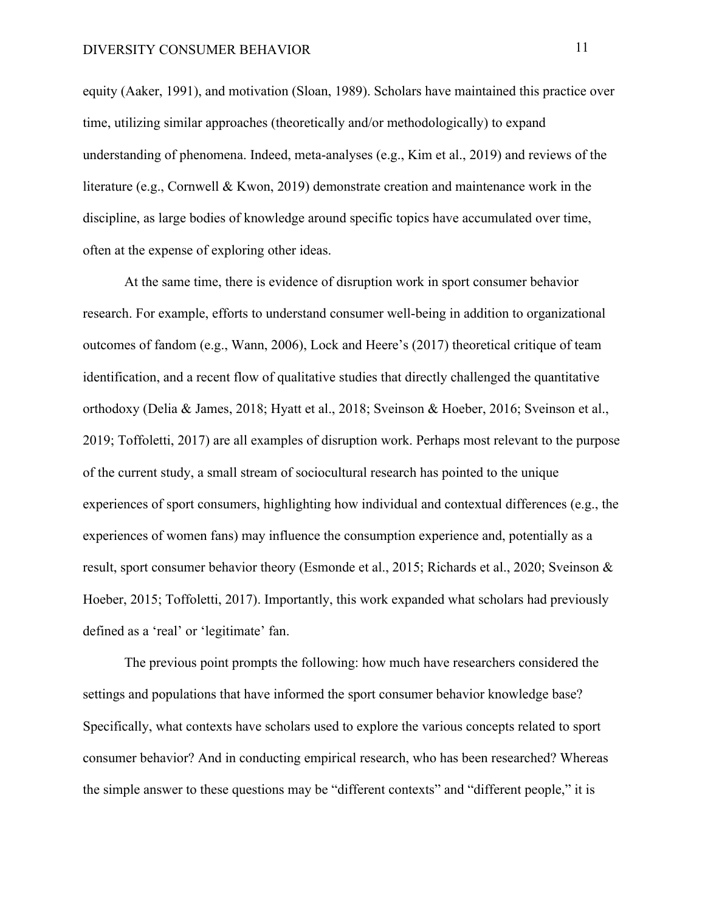equity (Aaker, 1991), and motivation (Sloan, 1989). Scholars have maintained this practice over time, utilizing similar approaches (theoretically and/or methodologically) to expand understanding of phenomena. Indeed, meta-analyses (e.g., Kim et al., 2019) and reviews of the literature (e.g., Cornwell & Kwon, 2019) demonstrate creation and maintenance work in the discipline, as large bodies of knowledge around specific topics have accumulated over time, often at the expense of exploring other ideas.

At the same time, there is evidence of disruption work in sport consumer behavior research. For example, efforts to understand consumer well-being in addition to organizational outcomes of fandom (e.g., Wann, 2006), Lock and Heere's (2017) theoretical critique of team identification, and a recent flow of qualitative studies that directly challenged the quantitative orthodoxy (Delia & James, 2018; Hyatt et al., 2018; Sveinson & Hoeber, 2016; Sveinson et al., 2019; Toffoletti, 2017) are all examples of disruption work. Perhaps most relevant to the purpose of the current study, a small stream of sociocultural research has pointed to the unique experiences of sport consumers, highlighting how individual and contextual differences (e.g., the experiences of women fans) may influence the consumption experience and, potentially as a result, sport consumer behavior theory (Esmonde et al., 2015; Richards et al., 2020; Sveinson & Hoeber, 2015; Toffoletti, 2017). Importantly, this work expanded what scholars had previously defined as a 'real' or 'legitimate' fan.

The previous point prompts the following: how much have researchers considered the settings and populations that have informed the sport consumer behavior knowledge base? Specifically, what contexts have scholars used to explore the various concepts related to sport consumer behavior? And in conducting empirical research, who has been researched? Whereas the simple answer to these questions may be "different contexts" and "different people," it is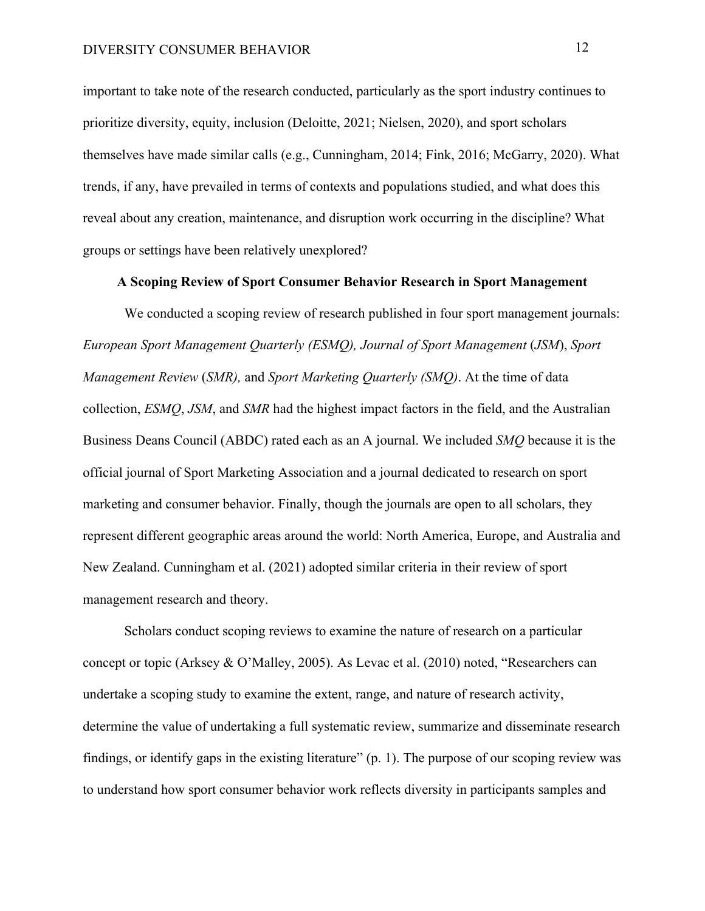important to take note of the research conducted, particularly as the sport industry continues to prioritize diversity, equity, inclusion (Deloitte, 2021; Nielsen, 2020), and sport scholars themselves have made similar calls (e.g., Cunningham, 2014; Fink, 2016; McGarry, 2020). What trends, if any, have prevailed in terms of contexts and populations studied, and what does this reveal about any creation, maintenance, and disruption work occurring in the discipline? What groups or settings have been relatively unexplored?

**A Scoping Review of Sport Consumer Behavior Research in Sport Management**

We conducted a scoping review of research published in four sport management journals: *European Sport Management Quarterly (ESMQ), Journal of Sport Management* (*JSM*), *Sport Management Review* (*SMR),* and *Sport Marketing Quarterly (SMQ)*. At the time of data collection, *ESMQ*, *JSM*, and *SMR* had the highest impact factors in the field, and the Australian Business Deans Council (ABDC) rated each as an A journal. We included *SMQ* because it is the official journal of Sport Marketing Association and a journal dedicated to research on sport marketing and consumer behavior. Finally, though the journals are open to all scholars, they represent different geographic areas around the world: North America, Europe, and Australia and New Zealand. Cunningham et al. (2021) adopted similar criteria in their review of sport management research and theory.

Scholars conduct scoping reviews to examine the nature of research on a particular concept or topic (Arksey & O'Malley, 2005). As Levac et al. (2010) noted, "Researchers can undertake a scoping study to examine the extent, range, and nature of research activity, determine the value of undertaking a full systematic review, summarize and disseminate research findings, or identify gaps in the existing literature" (p. 1). The purpose of our scoping review was to understand how sport consumer behavior work reflects diversity in participants samples and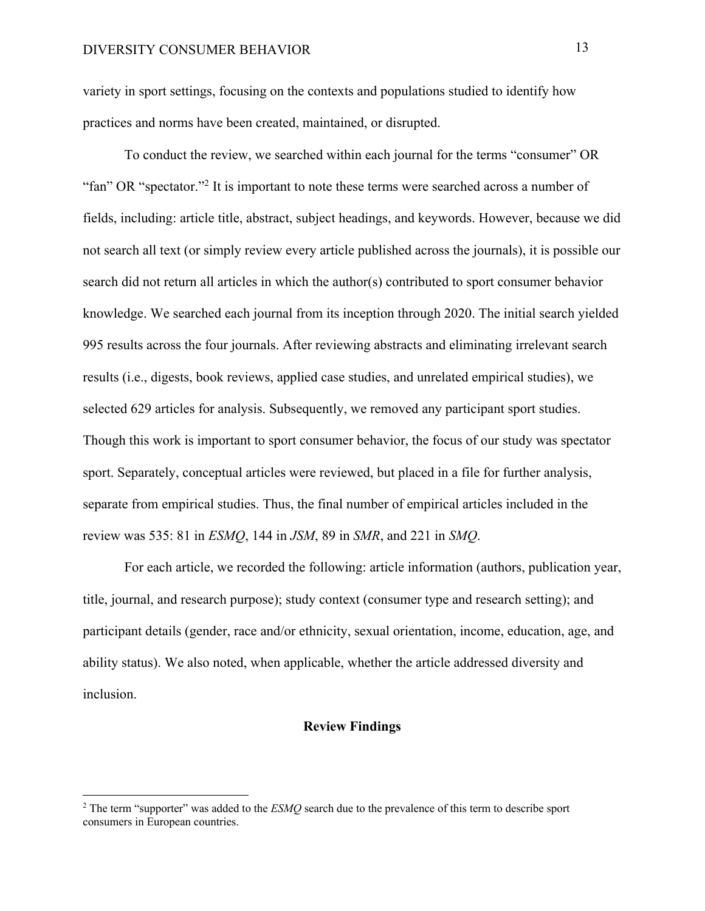variety in sport settings, focusing on the contexts and populations studied to identify how practices and norms have been created, maintained, or disrupted.

To conduct the review, we searched within each journal for the terms "consumer" OR "fan" OR "spectator."<sup>2</sup> It is important to note these terms were searched across a number of fields, including: article title, abstract, subject headings, and keywords. However, because we did not search all text (or simply review every article published across the journals), it is possible our search did not return all articles in which the author(s) contributed to sport consumer behavior knowledge. We searched each journal from its inception through 2020. The initial search yielded 995 results across the four journals. After reviewing abstracts and eliminating irrelevant search results (i.e., digests, book reviews, applied case studies, and unrelated empirical studies), we selected 629 articles for analysis. Subsequently, we removed any participant sport studies. Though this work is important to sport consumer behavior, the focus of our study was spectator sport. Separately, conceptual articles were reviewed, but placed in a file for further analysis, separate from empirical studies. Thus, the final number of empirical articles included in the review was 535: 81 in *ESMQ*, 144 in *JSM*, 89 in *SMR*, and 221 in *SMQ*.

For each article, we recorded the following: article information (authors, publication year, title, journal, and research purpose); study context (consumer type and research setting); and participant details (gender, race and/or ethnicity, sexual orientation, income, education, age, and ability status). We also noted, when applicable, whether the article addressed diversity and inclusion.

#### **Review Findings**

<sup>2</sup> The term "supporter" was added to the *ESMQ* search due to the prevalence of this term to describe sport consumers in European countries.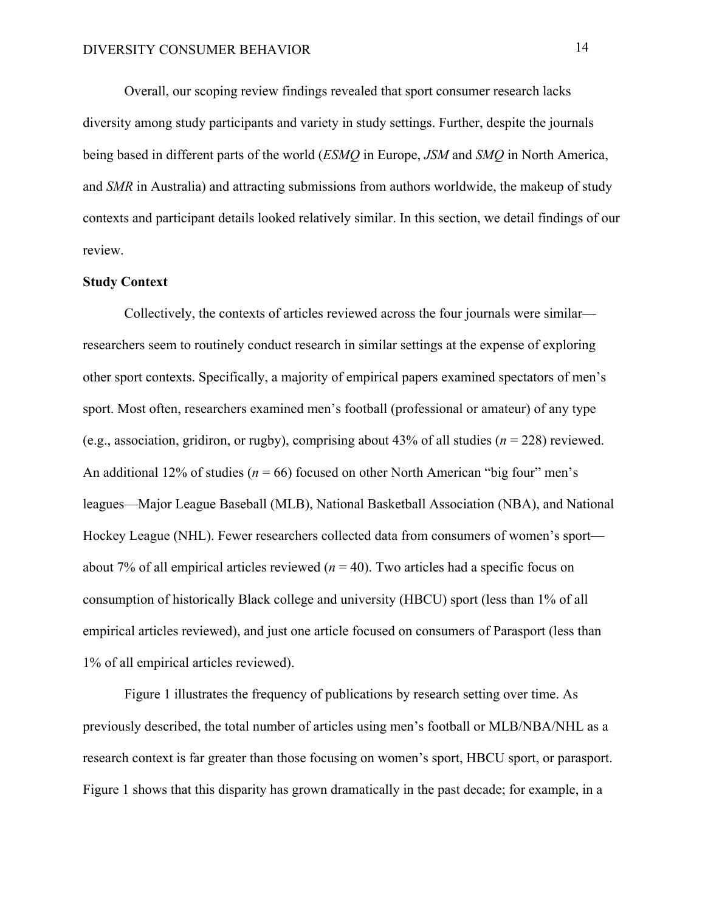Overall, our scoping review findings revealed that sport consumer research lacks diversity among study participants and variety in study settings. Further, despite the journals being based in different parts of the world (*ESMQ* in Europe, *JSM* and *SMQ* in North America, and *SMR* in Australia) and attracting submissions from authors worldwide, the makeup of study contexts and participant details looked relatively similar. In this section, we detail findings of our review.

## **Study Context**

Collectively, the contexts of articles reviewed across the four journals were similar researchers seem to routinely conduct research in similar settings at the expense of exploring other sport contexts. Specifically, a majority of empirical papers examined spectators of men's sport. Most often, researchers examined men's football (professional or amateur) of any type (e.g., association, gridiron, or rugby), comprising about 43% of all studies (*n* = 228) reviewed. An additional 12% of studies ( $n = 66$ ) focused on other North American "big four" men's leagues—Major League Baseball (MLB), National Basketball Association (NBA), and National Hockey League (NHL). Fewer researchers collected data from consumers of women's sport about 7% of all empirical articles reviewed  $(n = 40)$ . Two articles had a specific focus on consumption of historically Black college and university (HBCU) sport (less than 1% of all empirical articles reviewed), and just one article focused on consumers of Parasport (less than 1% of all empirical articles reviewed).

Figure 1 illustrates the frequency of publications by research setting over time. As previously described, the total number of articles using men's football or MLB/NBA/NHL as a research context is far greater than those focusing on women's sport, HBCU sport, or parasport. Figure 1 shows that this disparity has grown dramatically in the past decade; for example, in a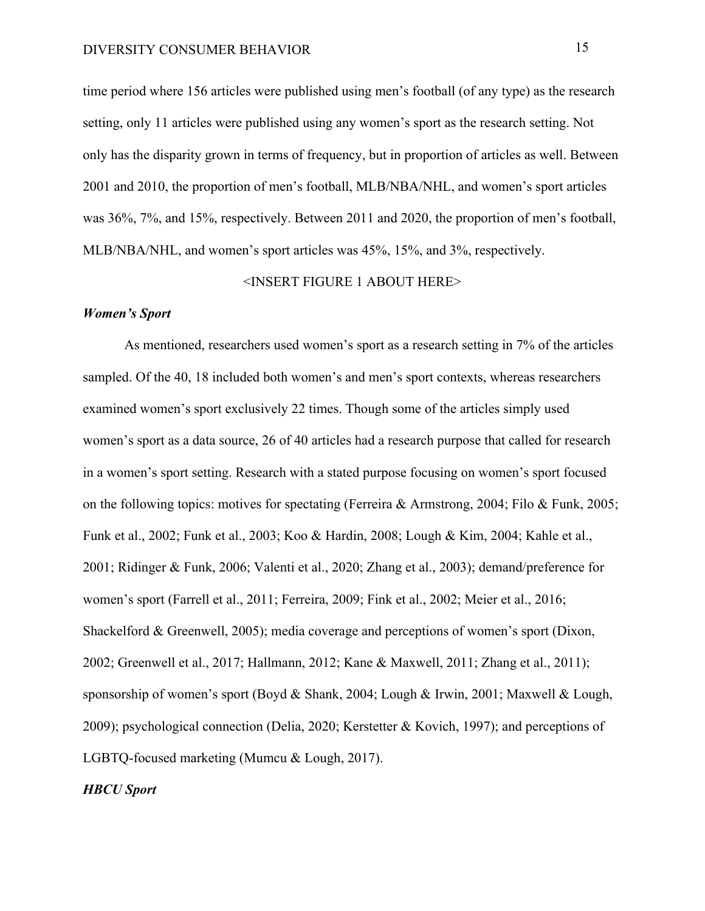time period where 156 articles were published using men's football (of any type) as the research setting, only 11 articles were published using any women's sport as the research setting. Not only has the disparity grown in terms of frequency, but in proportion of articles as well. Between 2001 and 2010, the proportion of men's football, MLB/NBA/NHL, and women's sport articles was 36%, 7%, and 15%, respectively. Between 2011 and 2020, the proportion of men's football, MLB/NBA/NHL, and women's sport articles was 45%, 15%, and 3%, respectively.

<INSERT FIGURE 1 ABOUT HERE>

#### *Women's Sport*

As mentioned, researchers used women's sport as a research setting in 7% of the articles sampled. Of the 40, 18 included both women's and men's sport contexts, whereas researchers examined women's sport exclusively 22 times. Though some of the articles simply used women's sport as a data source, 26 of 40 articles had a research purpose that called for research in a women's sport setting. Research with a stated purpose focusing on women's sport focused on the following topics: motives for spectating (Ferreira & Armstrong, 2004; Filo & Funk, 2005; Funk et al., 2002; Funk et al., 2003; Koo & Hardin, 2008; Lough & Kim, 2004; Kahle et al., 2001; Ridinger & Funk, 2006; Valenti et al., 2020; Zhang et al., 2003); demand/preference for women's sport (Farrell et al., 2011; Ferreira, 2009; Fink et al., 2002; Meier et al., 2016; Shackelford & Greenwell, 2005); media coverage and perceptions of women's sport (Dixon, 2002; Greenwell et al., 2017; Hallmann, 2012; Kane & Maxwell, 2011; Zhang et al., 2011); sponsorship of women's sport (Boyd & Shank, 2004; Lough & Irwin, 2001; Maxwell & Lough, 2009); psychological connection (Delia, 2020; Kerstetter & Kovich, 1997); and perceptions of LGBTQ-focused marketing (Mumcu & Lough, 2017).

*HBCU Sport*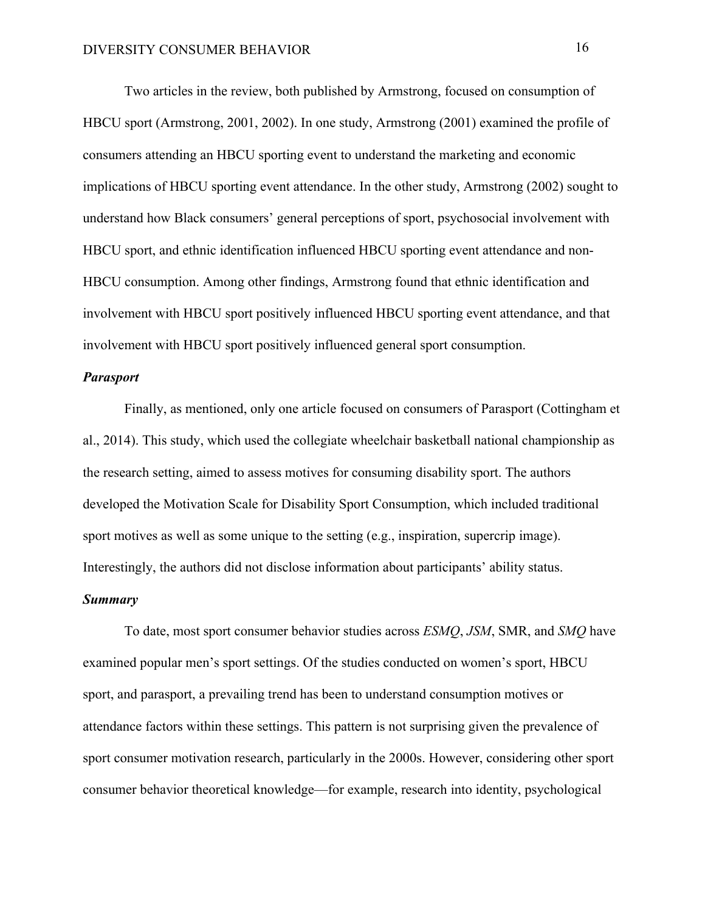Two articles in the review, both published by Armstrong, focused on consumption of HBCU sport (Armstrong, 2001, 2002). In one study, Armstrong (2001) examined the profile of consumers attending an HBCU sporting event to understand the marketing and economic implications of HBCU sporting event attendance. In the other study, Armstrong (2002) sought to understand how Black consumers' general perceptions of sport, psychosocial involvement with HBCU sport, and ethnic identification influenced HBCU sporting event attendance and non-HBCU consumption. Among other findings, Armstrong found that ethnic identification and involvement with HBCU sport positively influenced HBCU sporting event attendance, and that involvement with HBCU sport positively influenced general sport consumption.

## *Parasport*

Finally, as mentioned, only one article focused on consumers of Parasport (Cottingham et al., 2014). This study, which used the collegiate wheelchair basketball national championship as the research setting, aimed to assess motives for consuming disability sport. The authors developed the Motivation Scale for Disability Sport Consumption, which included traditional sport motives as well as some unique to the setting (e.g., inspiration, supercrip image). Interestingly, the authors did not disclose information about participants' ability status.

## *Summary*

To date, most sport consumer behavior studies across *ESMQ*, *JSM*, SMR, and *SMQ* have examined popular men's sport settings. Of the studies conducted on women's sport, HBCU sport, and parasport, a prevailing trend has been to understand consumption motives or attendance factors within these settings. This pattern is not surprising given the prevalence of sport consumer motivation research, particularly in the 2000s. However, considering other sport consumer behavior theoretical knowledge—for example, research into identity, psychological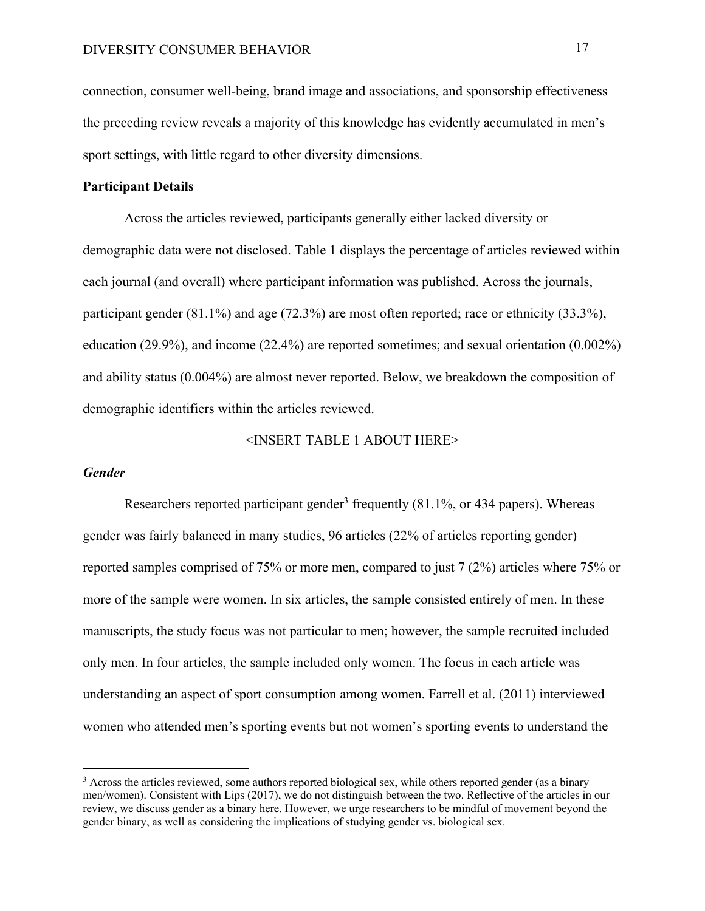connection, consumer well-being, brand image and associations, and sponsorship effectiveness the preceding review reveals a majority of this knowledge has evidently accumulated in men's sport settings, with little regard to other diversity dimensions.

## **Participant Details**

Across the articles reviewed, participants generally either lacked diversity or demographic data were not disclosed. Table 1 displays the percentage of articles reviewed within each journal (and overall) where participant information was published. Across the journals, participant gender (81.1%) and age (72.3%) are most often reported; race or ethnicity (33.3%), education (29.9%), and income (22.4%) are reported sometimes; and sexual orientation (0.002%) and ability status (0.004%) are almost never reported. Below, we breakdown the composition of demographic identifiers within the articles reviewed.

## <INSERT TABLE 1 ABOUT HERE>

## *Gender*

Researchers reported participant gender<sup>3</sup> frequently  $(81.1\%$ , or 434 papers). Whereas gender was fairly balanced in many studies, 96 articles (22% of articles reporting gender) reported samples comprised of 75% or more men, compared to just 7 (2%) articles where 75% or more of the sample were women. In six articles, the sample consisted entirely of men. In these manuscripts, the study focus was not particular to men; however, the sample recruited included only men. In four articles, the sample included only women. The focus in each article was understanding an aspect of sport consumption among women. Farrell et al. (2011) interviewed women who attended men's sporting events but not women's sporting events to understand the

 $3$  Across the articles reviewed, some authors reported biological sex, while others reported gender (as a binary – men/women). Consistent with Lips (2017), we do not distinguish between the two. Reflective of the articles in our review, we discuss gender as a binary here. However, we urge researchers to be mindful of movement beyond the gender binary, as well as considering the implications of studying gender vs. biological sex.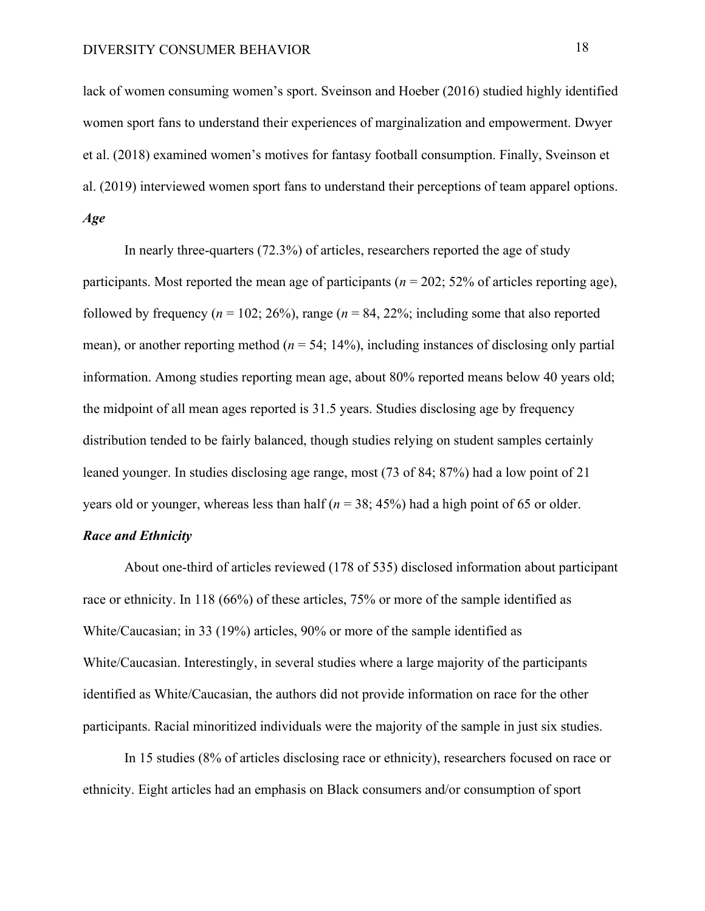lack of women consuming women's sport. Sveinson and Hoeber (2016) studied highly identified women sport fans to understand their experiences of marginalization and empowerment. Dwyer et al. (2018) examined women's motives for fantasy football consumption. Finally, Sveinson et al. (2019) interviewed women sport fans to understand their perceptions of team apparel options. *Age*

In nearly three-quarters (72.3%) of articles, researchers reported the age of study participants. Most reported the mean age of participants (*n* = 202; 52% of articles reporting age), followed by frequency ( $n = 102$ ; 26%), range ( $n = 84$ , 22%; including some that also reported mean), or another reporting method  $(n = 54; 14\%)$ , including instances of disclosing only partial information. Among studies reporting mean age, about 80% reported means below 40 years old; the midpoint of all mean ages reported is 31.5 years. Studies disclosing age by frequency distribution tended to be fairly balanced, though studies relying on student samples certainly leaned younger. In studies disclosing age range, most (73 of 84; 87%) had a low point of 21 years old or younger, whereas less than half ( $n = 38$ ; 45%) had a high point of 65 or older.

## *Race and Ethnicity*

About one-third of articles reviewed (178 of 535) disclosed information about participant race or ethnicity. In 118 (66%) of these articles, 75% or more of the sample identified as White/Caucasian; in 33 (19%) articles, 90% or more of the sample identified as White/Caucasian. Interestingly, in several studies where a large majority of the participants identified as White/Caucasian, the authors did not provide information on race for the other participants. Racial minoritized individuals were the majority of the sample in just six studies.

In 15 studies (8% of articles disclosing race or ethnicity), researchers focused on race or ethnicity. Eight articles had an emphasis on Black consumers and/or consumption of sport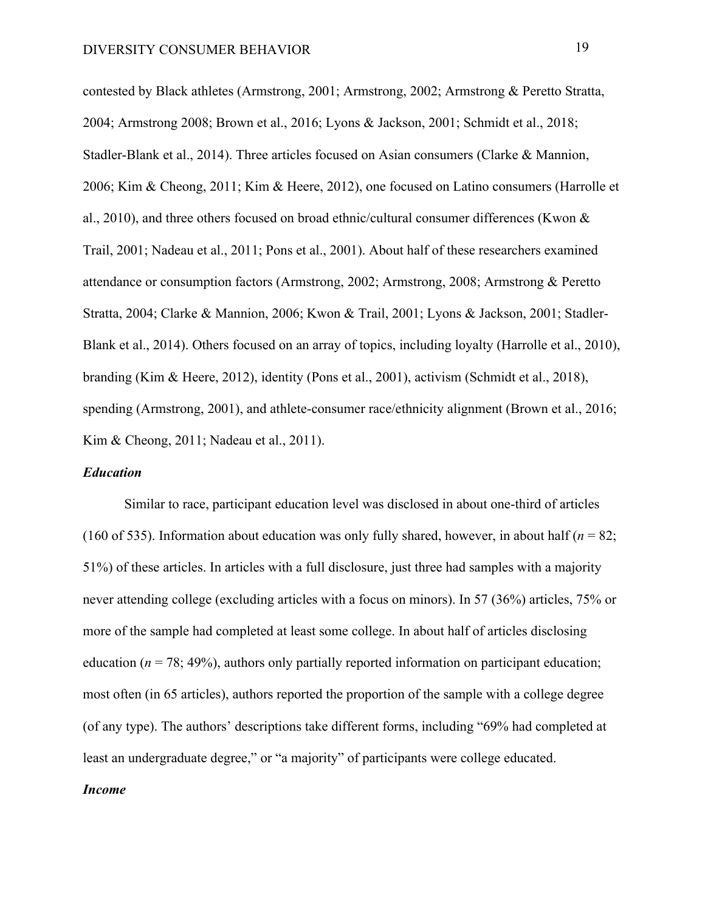contested by Black athletes (Armstrong, 2001; Armstrong, 2002; Armstrong & Peretto Stratta, 2004; Armstrong 2008; Brown et al., 2016; Lyons & Jackson, 2001; Schmidt et al., 2018; Stadler-Blank et al., 2014). Three articles focused on Asian consumers (Clarke & Mannion, 2006; Kim & Cheong, 2011; Kim & Heere, 2012), one focused on Latino consumers (Harrolle et al., 2010), and three others focused on broad ethnic/cultural consumer differences (Kwon & Trail, 2001; Nadeau et al., 2011; Pons et al., 2001). About half of these researchers examined attendance or consumption factors (Armstrong, 2002; Armstrong, 2008; Armstrong & Peretto Stratta, 2004; Clarke & Mannion, 2006; Kwon & Trail, 2001; Lyons & Jackson, 2001; Stadler-Blank et al., 2014). Others focused on an array of topics, including loyalty (Harrolle et al., 2010), branding (Kim & Heere, 2012), identity (Pons et al., 2001), activism (Schmidt et al., 2018), spending (Armstrong, 2001), and athlete-consumer race/ethnicity alignment (Brown et al., 2016; Kim & Cheong, 2011; Nadeau et al., 2011).

## *Education*

Similar to race, participant education level was disclosed in about one-third of articles (160 of 535). Information about education was only fully shared, however, in about half (*n* = 82; 51%) of these articles. In articles with a full disclosure, just three had samples with a majority never attending college (excluding articles with a focus on minors). In 57 (36%) articles, 75% or more of the sample had completed at least some college. In about half of articles disclosing education ( $n = 78$ ; 49%), authors only partially reported information on participant education; most often (in 65 articles), authors reported the proportion of the sample with a college degree (of any type). The authors' descriptions take different forms, including "69% had completed at least an undergraduate degree," or "a majority" of participants were college educated.

## *Income*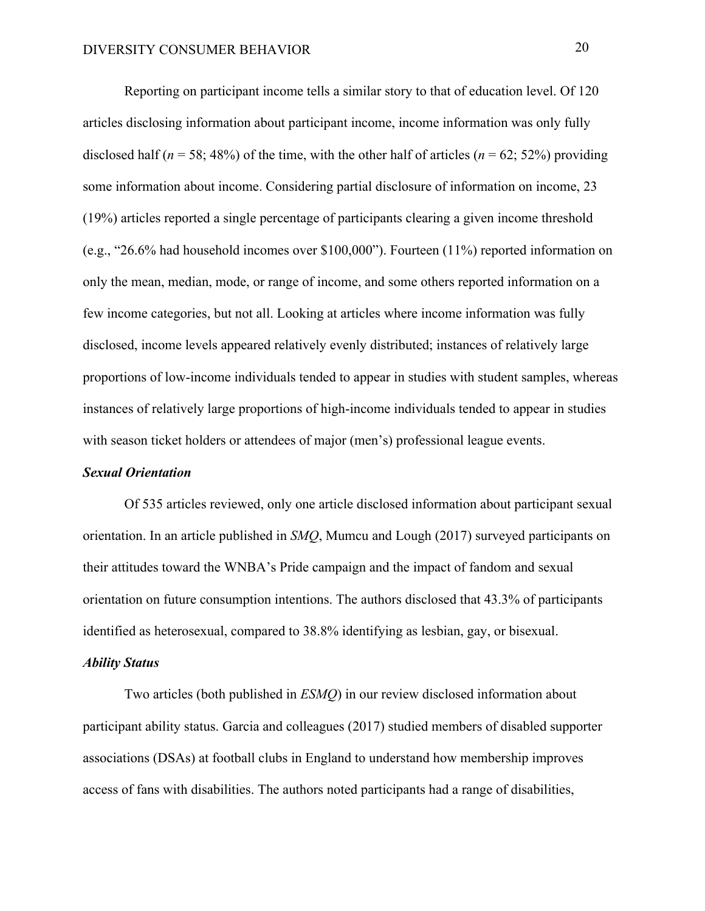Reporting on participant income tells a similar story to that of education level. Of 120 articles disclosing information about participant income, income information was only fully disclosed half ( $n = 58$ ; 48%) of the time, with the other half of articles ( $n = 62$ ; 52%) providing some information about income. Considering partial disclosure of information on income, 23 (19%) articles reported a single percentage of participants clearing a given income threshold (e.g., "26.6% had household incomes over \$100,000"). Fourteen (11%) reported information on only the mean, median, mode, or range of income, and some others reported information on a few income categories, but not all. Looking at articles where income information was fully disclosed, income levels appeared relatively evenly distributed; instances of relatively large proportions of low-income individuals tended to appear in studies with student samples, whereas instances of relatively large proportions of high-income individuals tended to appear in studies with season ticket holders or attendees of major (men's) professional league events.

## *Sexual Orientation*

Of 535 articles reviewed, only one article disclosed information about participant sexual orientation. In an article published in *SMQ*, Mumcu and Lough (2017) surveyed participants on their attitudes toward the WNBA's Pride campaign and the impact of fandom and sexual orientation on future consumption intentions. The authors disclosed that 43.3% of participants identified as heterosexual, compared to 38.8% identifying as lesbian, gay, or bisexual.

## *Ability Status*

Two articles (both published in *ESMQ*) in our review disclosed information about participant ability status. Garcia and colleagues (2017) studied members of disabled supporter associations (DSAs) at football clubs in England to understand how membership improves access of fans with disabilities. The authors noted participants had a range of disabilities,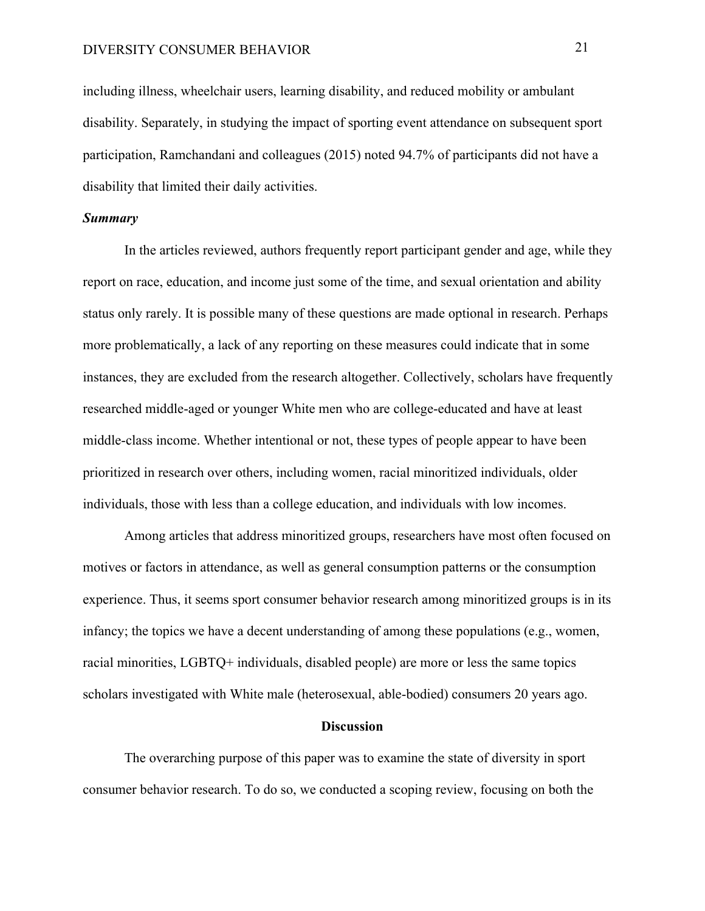including illness, wheelchair users, learning disability, and reduced mobility or ambulant disability. Separately, in studying the impact of sporting event attendance on subsequent sport participation, Ramchandani and colleagues (2015) noted 94.7% of participants did not have a disability that limited their daily activities.

#### *Summary*

In the articles reviewed, authors frequently report participant gender and age, while they report on race, education, and income just some of the time, and sexual orientation and ability status only rarely. It is possible many of these questions are made optional in research. Perhaps more problematically, a lack of any reporting on these measures could indicate that in some instances, they are excluded from the research altogether. Collectively, scholars have frequently researched middle-aged or younger White men who are college-educated and have at least middle-class income. Whether intentional or not, these types of people appear to have been prioritized in research over others, including women, racial minoritized individuals, older individuals, those with less than a college education, and individuals with low incomes.

Among articles that address minoritized groups, researchers have most often focused on motives or factors in attendance, as well as general consumption patterns or the consumption experience. Thus, it seems sport consumer behavior research among minoritized groups is in its infancy; the topics we have a decent understanding of among these populations (e.g., women, racial minorities, LGBTQ+ individuals, disabled people) are more or less the same topics scholars investigated with White male (heterosexual, able-bodied) consumers 20 years ago.

#### **Discussion**

The overarching purpose of this paper was to examine the state of diversity in sport consumer behavior research. To do so, we conducted a scoping review, focusing on both the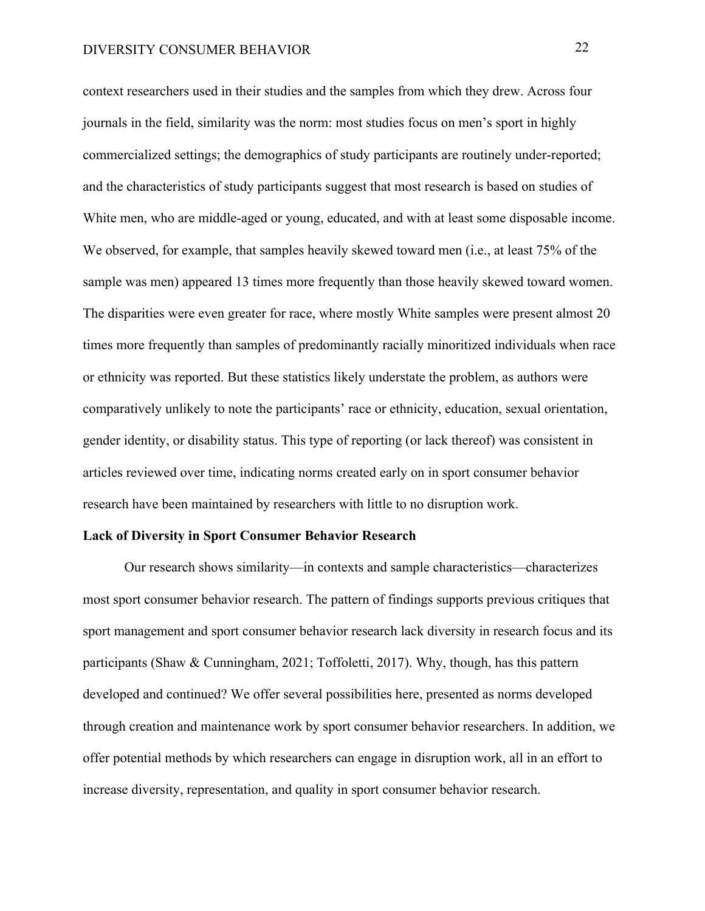context researchers used in their studies and the samples from which they drew. Across four journals in the field, similarity was the norm: most studies focus on men's sport in highly commercialized settings; the demographics of study participants are routinely under-reported; and the characteristics of study participants suggest that most research is based on studies of White men, who are middle-aged or young, educated, and with at least some disposable income. We observed, for example, that samples heavily skewed toward men (i.e., at least 75% of the sample was men) appeared 13 times more frequently than those heavily skewed toward women. The disparities were even greater for race, where mostly White samples were present almost 20 times more frequently than samples of predominantly racially minoritized individuals when race or ethnicity was reported. But these statistics likely understate the problem, as authors were comparatively unlikely to note the participants' race or ethnicity, education, sexual orientation, gender identity, or disability status. This type of reporting (or lack thereof) was consistent in articles reviewed over time, indicating norms created early on in sport consumer behavior research have been maintained by researchers with little to no disruption work.

#### **Lack of Diversity in Sport Consumer Behavior Research**

Our research shows similarity—in contexts and sample characteristics—characterizes most sport consumer behavior research. The pattern of findings supports previous critiques that sport management and sport consumer behavior research lack diversity in research focus and its participants (Shaw & Cunningham, 2021; Toffoletti, 2017). Why, though, has this pattern developed and continued? We offer several possibilities here, presented as norms developed through creation and maintenance work by sport consumer behavior researchers. In addition, we offer potential methods by which researchers can engage in disruption work, all in an effort to increase diversity, representation, and quality in sport consumer behavior research.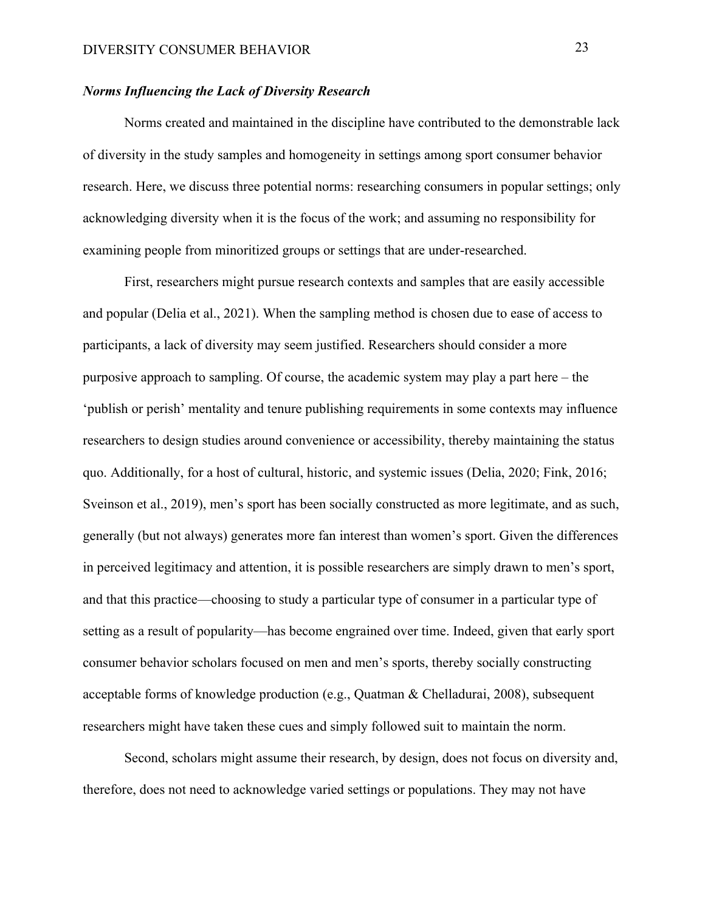## *Norms Influencing the Lack of Diversity Research*

Norms created and maintained in the discipline have contributed to the demonstrable lack of diversity in the study samples and homogeneity in settings among sport consumer behavior research. Here, we discuss three potential norms: researching consumers in popular settings; only acknowledging diversity when it is the focus of the work; and assuming no responsibility for examining people from minoritized groups or settings that are under-researched.

First, researchers might pursue research contexts and samples that are easily accessible and popular (Delia et al., 2021). When the sampling method is chosen due to ease of access to participants, a lack of diversity may seem justified. Researchers should consider a more purposive approach to sampling. Of course, the academic system may play a part here – the 'publish or perish' mentality and tenure publishing requirements in some contexts may influence researchers to design studies around convenience or accessibility, thereby maintaining the status quo. Additionally, for a host of cultural, historic, and systemic issues (Delia, 2020; Fink, 2016; Sveinson et al., 2019), men's sport has been socially constructed as more legitimate, and as such, generally (but not always) generates more fan interest than women's sport. Given the differences in perceived legitimacy and attention, it is possible researchers are simply drawn to men's sport, and that this practice—choosing to study a particular type of consumer in a particular type of setting as a result of popularity—has become engrained over time. Indeed, given that early sport consumer behavior scholars focused on men and men's sports, thereby socially constructing acceptable forms of knowledge production (e.g., Quatman & Chelladurai, 2008), subsequent researchers might have taken these cues and simply followed suit to maintain the norm.

Second, scholars might assume their research, by design, does not focus on diversity and, therefore, does not need to acknowledge varied settings or populations. They may not have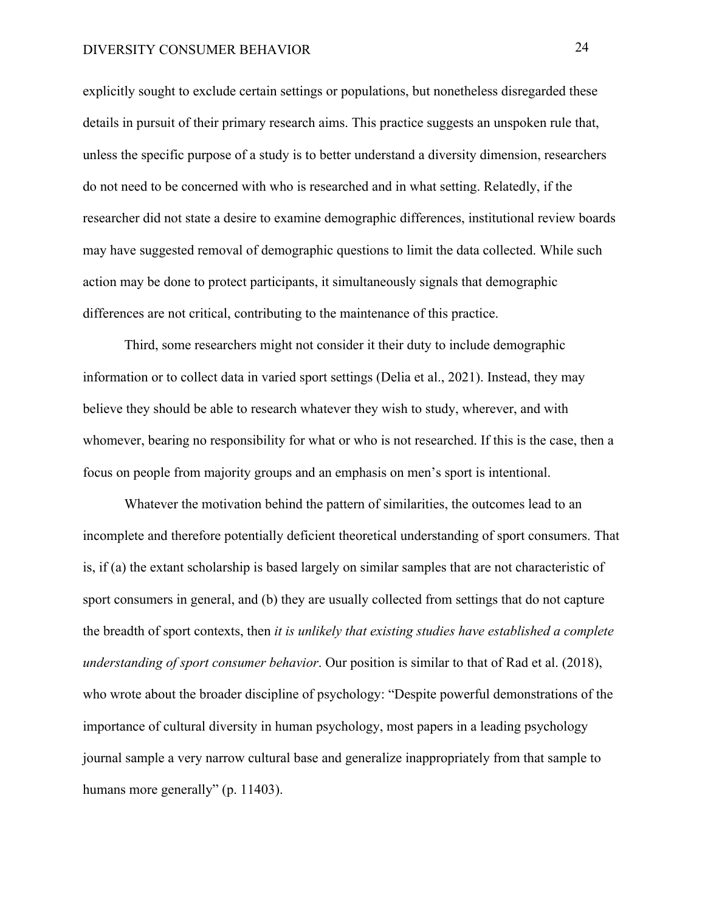explicitly sought to exclude certain settings or populations, but nonetheless disregarded these details in pursuit of their primary research aims. This practice suggests an unspoken rule that, unless the specific purpose of a study is to better understand a diversity dimension, researchers do not need to be concerned with who is researched and in what setting. Relatedly, if the researcher did not state a desire to examine demographic differences, institutional review boards may have suggested removal of demographic questions to limit the data collected. While such action may be done to protect participants, it simultaneously signals that demographic differences are not critical, contributing to the maintenance of this practice.

Third, some researchers might not consider it their duty to include demographic information or to collect data in varied sport settings (Delia et al., 2021). Instead, they may believe they should be able to research whatever they wish to study, wherever, and with whomever, bearing no responsibility for what or who is not researched. If this is the case, then a focus on people from majority groups and an emphasis on men's sport is intentional.

Whatever the motivation behind the pattern of similarities, the outcomes lead to an incomplete and therefore potentially deficient theoretical understanding of sport consumers. That is, if (a) the extant scholarship is based largely on similar samples that are not characteristic of sport consumers in general, and (b) they are usually collected from settings that do not capture the breadth of sport contexts, then *it is unlikely that existing studies have established a complete understanding of sport consumer behavior*. Our position is similar to that of Rad et al. (2018), who wrote about the broader discipline of psychology: "Despite powerful demonstrations of the importance of cultural diversity in human psychology, most papers in a leading psychology journal sample a very narrow cultural base and generalize inappropriately from that sample to humans more generally" (p. 11403).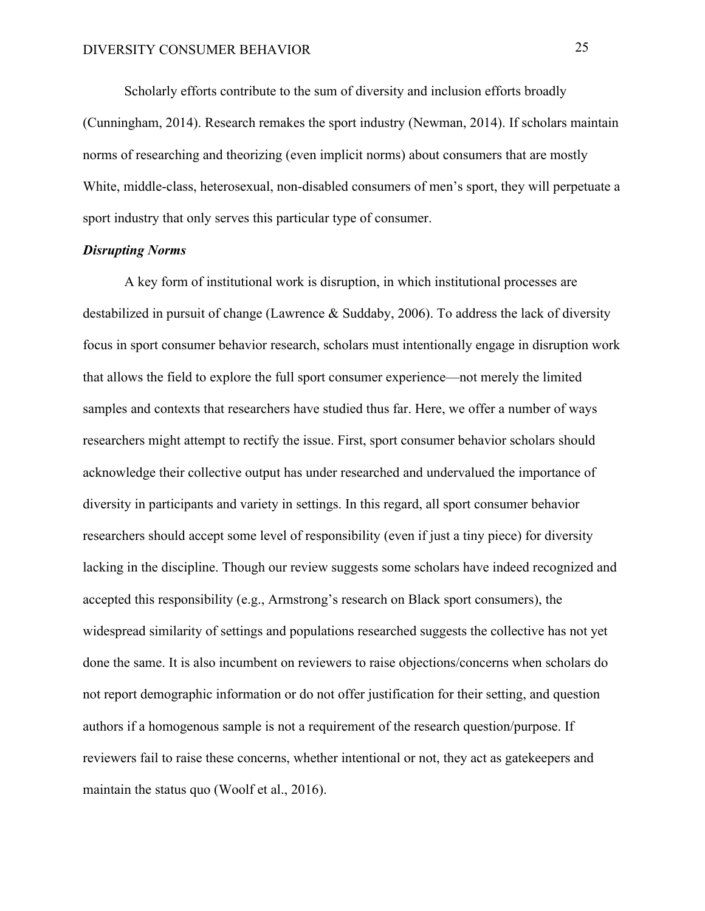Scholarly efforts contribute to the sum of diversity and inclusion efforts broadly (Cunningham, 2014). Research remakes the sport industry (Newman, 2014). If scholars maintain norms of researching and theorizing (even implicit norms) about consumers that are mostly White, middle-class, heterosexual, non-disabled consumers of men's sport, they will perpetuate a sport industry that only serves this particular type of consumer.

### *Disrupting Norms*

A key form of institutional work is disruption, in which institutional processes are destabilized in pursuit of change (Lawrence & Suddaby, 2006). To address the lack of diversity focus in sport consumer behavior research, scholars must intentionally engage in disruption work that allows the field to explore the full sport consumer experience—not merely the limited samples and contexts that researchers have studied thus far. Here, we offer a number of ways researchers might attempt to rectify the issue. First, sport consumer behavior scholars should acknowledge their collective output has under researched and undervalued the importance of diversity in participants and variety in settings. In this regard, all sport consumer behavior researchers should accept some level of responsibility (even if just a tiny piece) for diversity lacking in the discipline. Though our review suggests some scholars have indeed recognized and accepted this responsibility (e.g., Armstrong's research on Black sport consumers), the widespread similarity of settings and populations researched suggests the collective has not yet done the same. It is also incumbent on reviewers to raise objections/concerns when scholars do not report demographic information or do not offer justification for their setting, and question authors if a homogenous sample is not a requirement of the research question/purpose. If reviewers fail to raise these concerns, whether intentional or not, they act as gatekeepers and maintain the status quo (Woolf et al., 2016).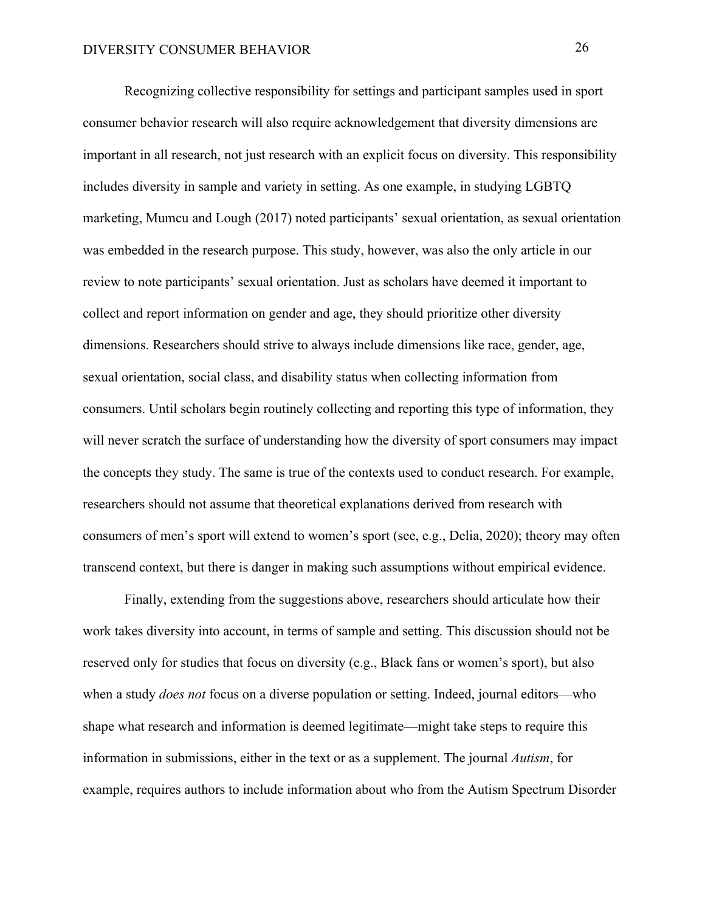Recognizing collective responsibility for settings and participant samples used in sport consumer behavior research will also require acknowledgement that diversity dimensions are important in all research, not just research with an explicit focus on diversity. This responsibility includes diversity in sample and variety in setting. As one example, in studying LGBTQ marketing, Mumcu and Lough (2017) noted participants' sexual orientation, as sexual orientation was embedded in the research purpose. This study, however, was also the only article in our review to note participants' sexual orientation. Just as scholars have deemed it important to collect and report information on gender and age, they should prioritize other diversity dimensions. Researchers should strive to always include dimensions like race, gender, age, sexual orientation, social class, and disability status when collecting information from consumers. Until scholars begin routinely collecting and reporting this type of information, they will never scratch the surface of understanding how the diversity of sport consumers may impact the concepts they study. The same is true of the contexts used to conduct research. For example, researchers should not assume that theoretical explanations derived from research with consumers of men's sport will extend to women's sport (see, e.g., Delia, 2020); theory may often transcend context, but there is danger in making such assumptions without empirical evidence.

Finally, extending from the suggestions above, researchers should articulate how their work takes diversity into account, in terms of sample and setting. This discussion should not be reserved only for studies that focus on diversity (e.g., Black fans or women's sport), but also when a study *does not* focus on a diverse population or setting. Indeed, journal editors—who shape what research and information is deemed legitimate—might take steps to require this information in submissions, either in the text or as a supplement. The journal *Autism*, for example, requires authors to include information about who from the Autism Spectrum Disorder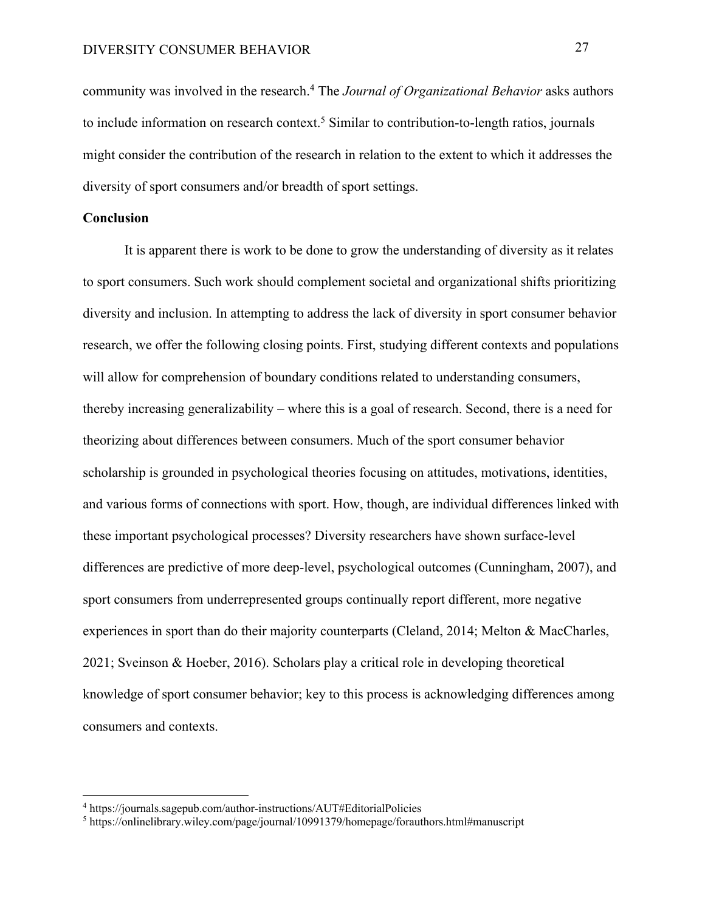community was involved in the research.4 The *Journal of Organizational Behavior* asks authors to include information on research context. <sup>5</sup> Similar to contribution-to-length ratios, journals might consider the contribution of the research in relation to the extent to which it addresses the diversity of sport consumers and/or breadth of sport settings.

## **Conclusion**

It is apparent there is work to be done to grow the understanding of diversity as it relates to sport consumers. Such work should complement societal and organizational shifts prioritizing diversity and inclusion. In attempting to address the lack of diversity in sport consumer behavior research, we offer the following closing points. First, studying different contexts and populations will allow for comprehension of boundary conditions related to understanding consumers, thereby increasing generalizability – where this is a goal of research. Second, there is a need for theorizing about differences between consumers. Much of the sport consumer behavior scholarship is grounded in psychological theories focusing on attitudes, motivations, identities, and various forms of connections with sport. How, though, are individual differences linked with these important psychological processes? Diversity researchers have shown surface-level differences are predictive of more deep-level, psychological outcomes (Cunningham, 2007), and sport consumers from underrepresented groups continually report different, more negative experiences in sport than do their majority counterparts (Cleland, 2014; Melton & MacCharles, 2021; Sveinson & Hoeber, 2016). Scholars play a critical role in developing theoretical knowledge of sport consumer behavior; key to this process is acknowledging differences among consumers and contexts.

<sup>4</sup> https://journals.sagepub.com/author-instructions/AUT#EditorialPolicies

<sup>5</sup> https://onlinelibrary.wiley.com/page/journal/10991379/homepage/forauthors.html#manuscript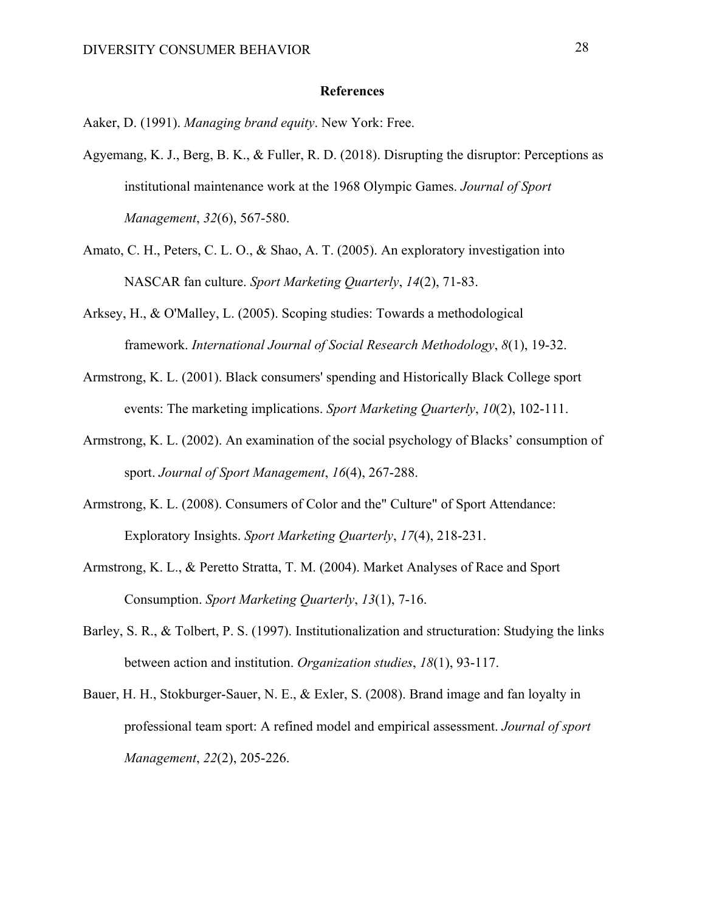## **References**

Aaker, D. (1991). *Managing brand equity*. New York: Free.

- Agyemang, K. J., Berg, B. K., & Fuller, R. D. (2018). Disrupting the disruptor: Perceptions as institutional maintenance work at the 1968 Olympic Games. *Journal of Sport Management*, *32*(6), 567-580.
- Amato, C. H., Peters, C. L. O., & Shao, A. T. (2005). An exploratory investigation into NASCAR fan culture. *Sport Marketing Quarterly*, *14*(2), 71-83.
- Arksey, H., & O'Malley, L. (2005). Scoping studies: Towards a methodological framework. *International Journal of Social Research Methodology*, *8*(1), 19-32.
- Armstrong, K. L. (2001). Black consumers' spending and Historically Black College sport events: The marketing implications. *Sport Marketing Quarterly*, *10*(2), 102-111.
- Armstrong, K. L. (2002). An examination of the social psychology of Blacks' consumption of sport. *Journal of Sport Management*, *16*(4), 267-288.
- Armstrong, K. L. (2008). Consumers of Color and the" Culture" of Sport Attendance: Exploratory Insights. *Sport Marketing Quarterly*, *17*(4), 218-231.
- Armstrong, K. L., & Peretto Stratta, T. M. (2004). Market Analyses of Race and Sport Consumption. *Sport Marketing Quarterly*, *13*(1), 7-16.
- Barley, S. R., & Tolbert, P. S. (1997). Institutionalization and structuration: Studying the links between action and institution. *Organization studies*, *18*(1), 93-117.
- Bauer, H. H., Stokburger-Sauer, N. E., & Exler, S. (2008). Brand image and fan loyalty in professional team sport: A refined model and empirical assessment. *Journal of sport Management*, *22*(2), 205-226.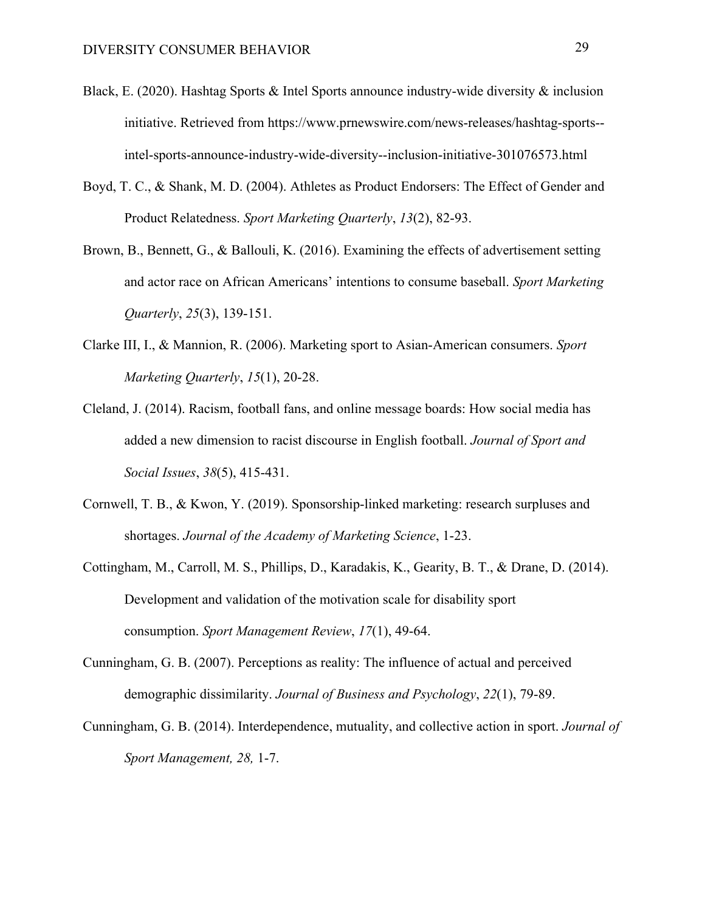- Black, E. (2020). Hashtag Sports & Intel Sports announce industry-wide diversity & inclusion initiative. Retrieved from https://www.prnewswire.com/news-releases/hashtag-sports- intel-sports-announce-industry-wide-diversity--inclusion-initiative-301076573.html
- Boyd, T. C., & Shank, M. D. (2004). Athletes as Product Endorsers: The Effect of Gender and Product Relatedness. *Sport Marketing Quarterly*, *13*(2), 82-93.
- Brown, B., Bennett, G., & Ballouli, K. (2016). Examining the effects of advertisement setting and actor race on African Americans' intentions to consume baseball. *Sport Marketing Quarterly*, *25*(3), 139-151.
- Clarke III, I., & Mannion, R. (2006). Marketing sport to Asian-American consumers. *Sport Marketing Quarterly*, *15*(1), 20-28.
- Cleland, J. (2014). Racism, football fans, and online message boards: How social media has added a new dimension to racist discourse in English football. *Journal of Sport and Social Issues*, *38*(5), 415-431.
- Cornwell, T. B., & Kwon, Y. (2019). Sponsorship-linked marketing: research surpluses and shortages. *Journal of the Academy of Marketing Science*, 1-23.
- Cottingham, M., Carroll, M. S., Phillips, D., Karadakis, K., Gearity, B. T., & Drane, D. (2014). Development and validation of the motivation scale for disability sport consumption. *Sport Management Review*, *17*(1), 49-64.
- Cunningham, G. B. (2007). Perceptions as reality: The influence of actual and perceived demographic dissimilarity. *Journal of Business and Psychology*, *22*(1), 79-89.
- Cunningham, G. B. (2014). Interdependence, mutuality, and collective action in sport. *Journal of Sport Management, 28,* 1-7.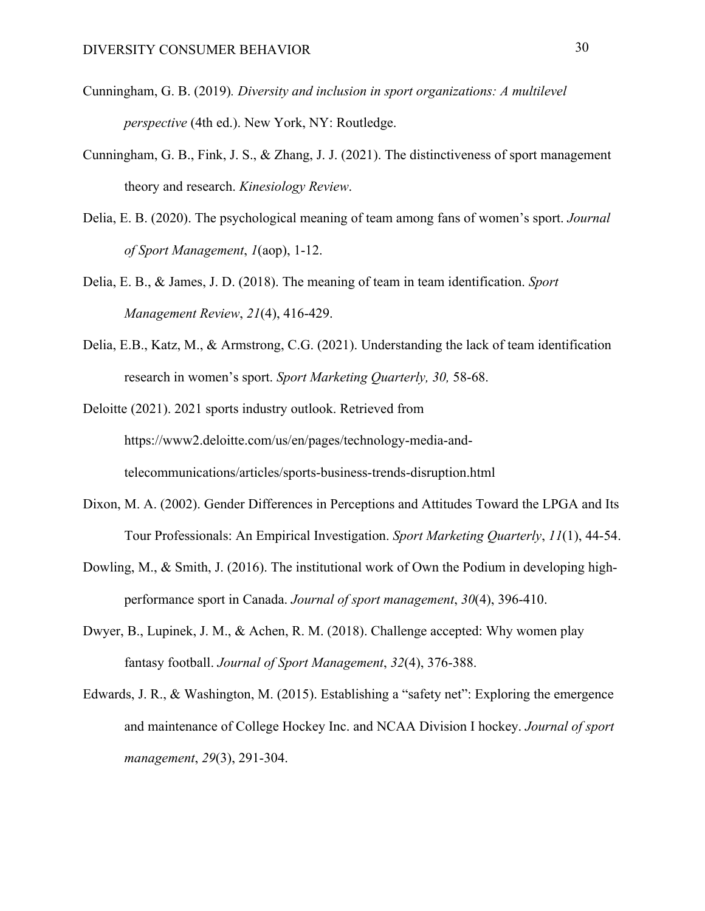- Cunningham, G. B. (2019)*. Diversity and inclusion in sport organizations: A multilevel perspective* (4th ed.). New York, NY: Routledge.
- Cunningham, G. B., Fink, J. S., & Zhang, J. J. (2021). The distinctiveness of sport management theory and research. *Kinesiology Review*.
- Delia, E. B. (2020). The psychological meaning of team among fans of women's sport. *Journal of Sport Management*, *1*(aop), 1-12.
- Delia, E. B., & James, J. D. (2018). The meaning of team in team identification. *Sport Management Review*, *21*(4), 416-429.
- Delia, E.B., Katz, M., & Armstrong, C.G. (2021). Understanding the lack of team identification research in women's sport. *Sport Marketing Quarterly, 30,* 58-68.

Deloitte (2021). 2021 sports industry outlook. Retrieved from https://www2.deloitte.com/us/en/pages/technology-media-andtelecommunications/articles/sports-business-trends-disruption.html

- Dixon, M. A. (2002). Gender Differences in Perceptions and Attitudes Toward the LPGA and Its Tour Professionals: An Empirical Investigation. *Sport Marketing Quarterly*, *11*(1), 44-54.
- Dowling, M., & Smith, J. (2016). The institutional work of Own the Podium in developing highperformance sport in Canada. *Journal of sport management*, *30*(4), 396-410.
- Dwyer, B., Lupinek, J. M., & Achen, R. M. (2018). Challenge accepted: Why women play fantasy football. *Journal of Sport Management*, *32*(4), 376-388.
- Edwards, J. R., & Washington, M. (2015). Establishing a "safety net": Exploring the emergence and maintenance of College Hockey Inc. and NCAA Division I hockey. *Journal of sport management*, *29*(3), 291-304.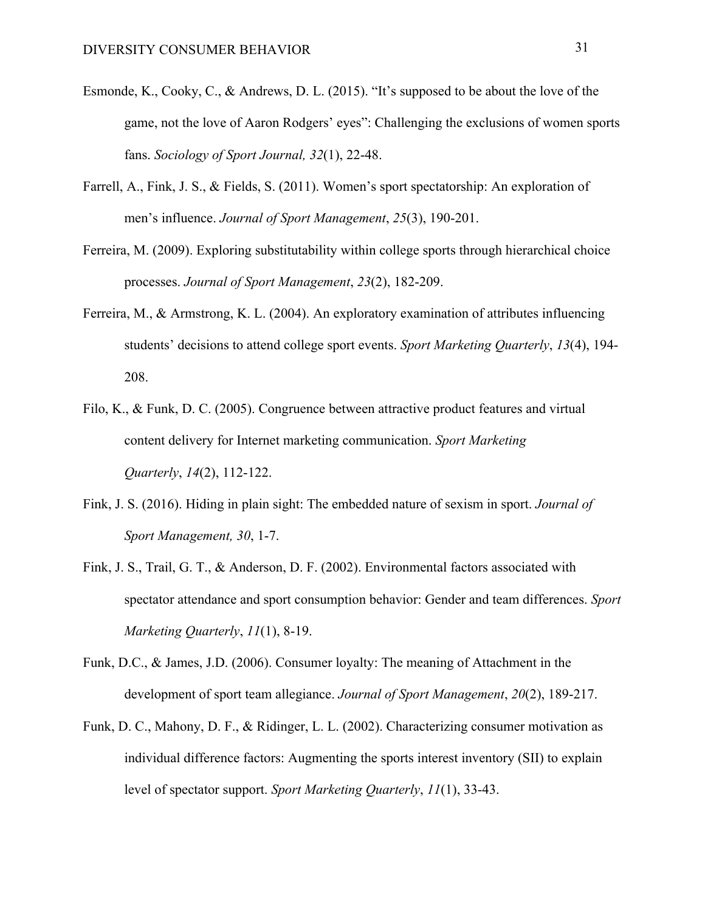- Esmonde, K., Cooky, C., & Andrews, D. L. (2015). "It's supposed to be about the love of the game, not the love of Aaron Rodgers' eyes": Challenging the exclusions of women sports fans. *Sociology of Sport Journal, 32*(1), 22-48.
- Farrell, A., Fink, J. S., & Fields, S. (2011). Women's sport spectatorship: An exploration of men's influence. *Journal of Sport Management*, *25*(3), 190-201.
- Ferreira, M. (2009). Exploring substitutability within college sports through hierarchical choice processes. *Journal of Sport Management*, *23*(2), 182-209.
- Ferreira, M., & Armstrong, K. L. (2004). An exploratory examination of attributes influencing students' decisions to attend college sport events. *Sport Marketing Quarterly*, *13*(4), 194- 208.
- Filo, K., & Funk, D. C. (2005). Congruence between attractive product features and virtual content delivery for Internet marketing communication. *Sport Marketing Quarterly*, *14*(2), 112-122.
- Fink, J. S. (2016). Hiding in plain sight: The embedded nature of sexism in sport. *Journal of Sport Management, 30*, 1-7.
- Fink, J. S., Trail, G. T., & Anderson, D. F. (2002). Environmental factors associated with spectator attendance and sport consumption behavior: Gender and team differences. *Sport Marketing Quarterly*, *11*(1), 8-19.
- Funk, D.C., & James, J.D. (2006). Consumer loyalty: The meaning of Attachment in the development of sport team allegiance. *Journal of Sport Management*, *20*(2), 189-217.
- Funk, D. C., Mahony, D. F., & Ridinger, L. L. (2002). Characterizing consumer motivation as individual difference factors: Augmenting the sports interest inventory (SII) to explain level of spectator support. *Sport Marketing Quarterly*, *11*(1), 33-43.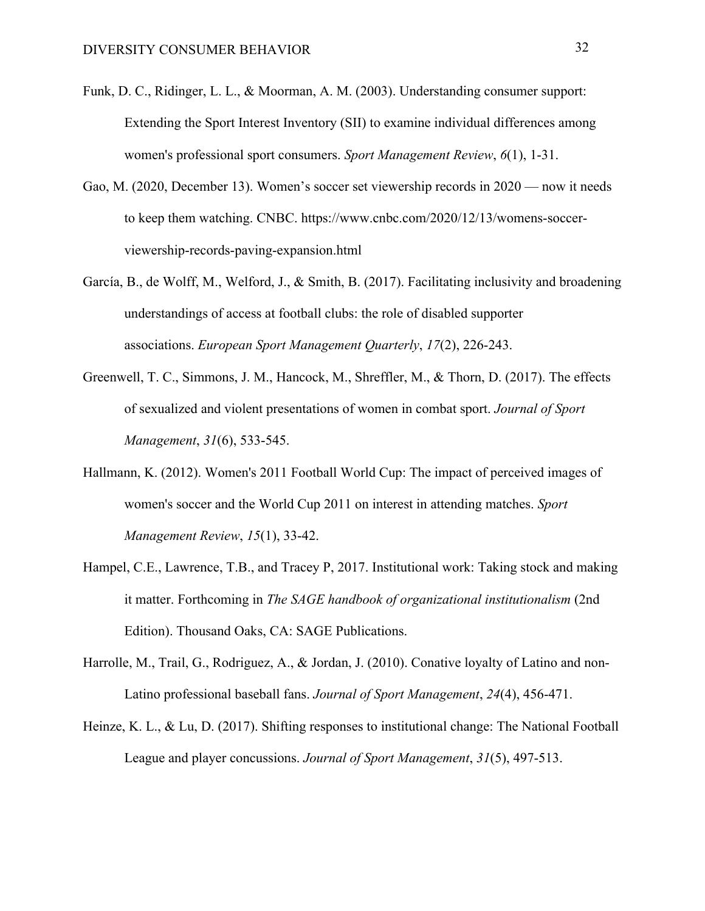- Funk, D. C., Ridinger, L. L., & Moorman, A. M. (2003). Understanding consumer support: Extending the Sport Interest Inventory (SII) to examine individual differences among women's professional sport consumers. *Sport Management Review*, *6*(1), 1-31.
- Gao, M. (2020, December 13). Women's soccer set viewership records in 2020 now it needs to keep them watching. CNBC. https://www.cnbc.com/2020/12/13/womens-soccerviewership-records-paving-expansion.html
- García, B., de Wolff, M., Welford, J., & Smith, B. (2017). Facilitating inclusivity and broadening understandings of access at football clubs: the role of disabled supporter associations. *European Sport Management Quarterly*, *17*(2), 226-243.
- Greenwell, T. C., Simmons, J. M., Hancock, M., Shreffler, M., & Thorn, D. (2017). The effects of sexualized and violent presentations of women in combat sport. *Journal of Sport Management*, *31*(6), 533-545.
- Hallmann, K. (2012). Women's 2011 Football World Cup: The impact of perceived images of women's soccer and the World Cup 2011 on interest in attending matches. *Sport Management Review*, *15*(1), 33-42.
- Hampel, C.E., Lawrence, T.B., and Tracey P, 2017. Institutional work: Taking stock and making it matter. Forthcoming in *The SAGE handbook of organizational institutionalism* (2nd Edition). Thousand Oaks, CA: SAGE Publications.
- Harrolle, M., Trail, G., Rodriguez, A., & Jordan, J. (2010). Conative loyalty of Latino and non-Latino professional baseball fans. *Journal of Sport Management*, *24*(4), 456-471.
- Heinze, K. L., & Lu, D. (2017). Shifting responses to institutional change: The National Football League and player concussions. *Journal of Sport Management*, *31*(5), 497-513.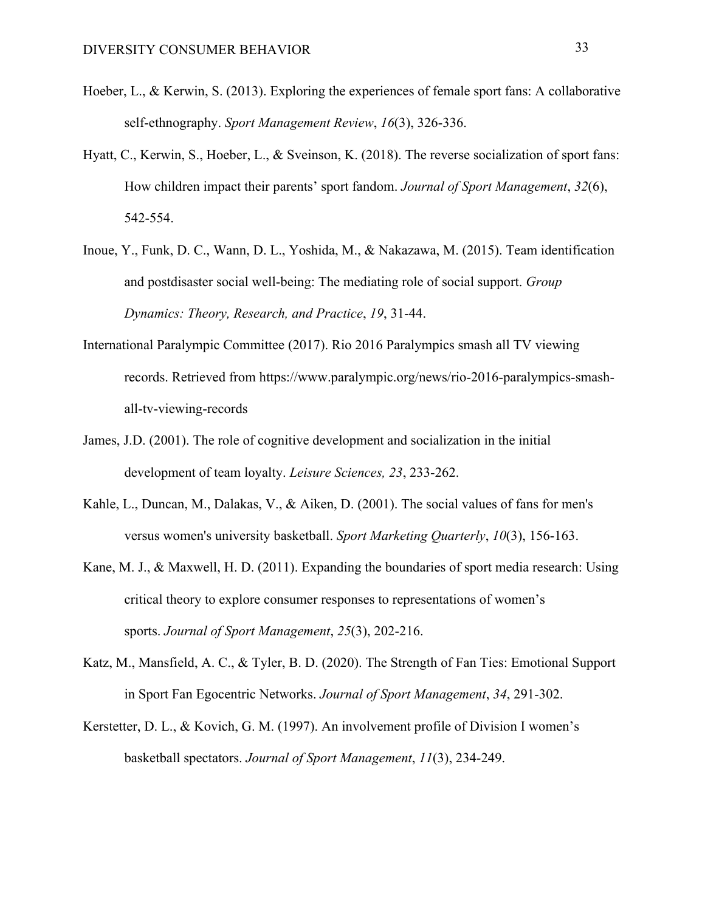- Hoeber, L., & Kerwin, S. (2013). Exploring the experiences of female sport fans: A collaborative self-ethnography. *Sport Management Review*, *16*(3), 326-336.
- Hyatt, C., Kerwin, S., Hoeber, L., & Sveinson, K. (2018). The reverse socialization of sport fans: How children impact their parents' sport fandom. *Journal of Sport Management*, *32*(6), 542-554.
- Inoue, Y., Funk, D. C., Wann, D. L., Yoshida, M., & Nakazawa, M. (2015). Team identification and postdisaster social well-being: The mediating role of social support. *Group Dynamics: Theory, Research, and Practice*, *19*, 31-44.
- International Paralympic Committee (2017). Rio 2016 Paralympics smash all TV viewing records. Retrieved from https://www.paralympic.org/news/rio-2016-paralympics-smashall-tv-viewing-records
- James, J.D. (2001). The role of cognitive development and socialization in the initial development of team loyalty. *Leisure Sciences, 23*, 233-262.
- Kahle, L., Duncan, M., Dalakas, V., & Aiken, D. (2001). The social values of fans for men's versus women's university basketball. *Sport Marketing Quarterly*, *10*(3), 156-163.
- Kane, M. J., & Maxwell, H. D. (2011). Expanding the boundaries of sport media research: Using critical theory to explore consumer responses to representations of women's sports. *Journal of Sport Management*, *25*(3), 202-216.
- Katz, M., Mansfield, A. C., & Tyler, B. D. (2020). The Strength of Fan Ties: Emotional Support in Sport Fan Egocentric Networks. *Journal of Sport Management*, *34*, 291-302.
- Kerstetter, D. L., & Kovich, G. M. (1997). An involvement profile of Division I women's basketball spectators. *Journal of Sport Management*, *11*(3), 234-249.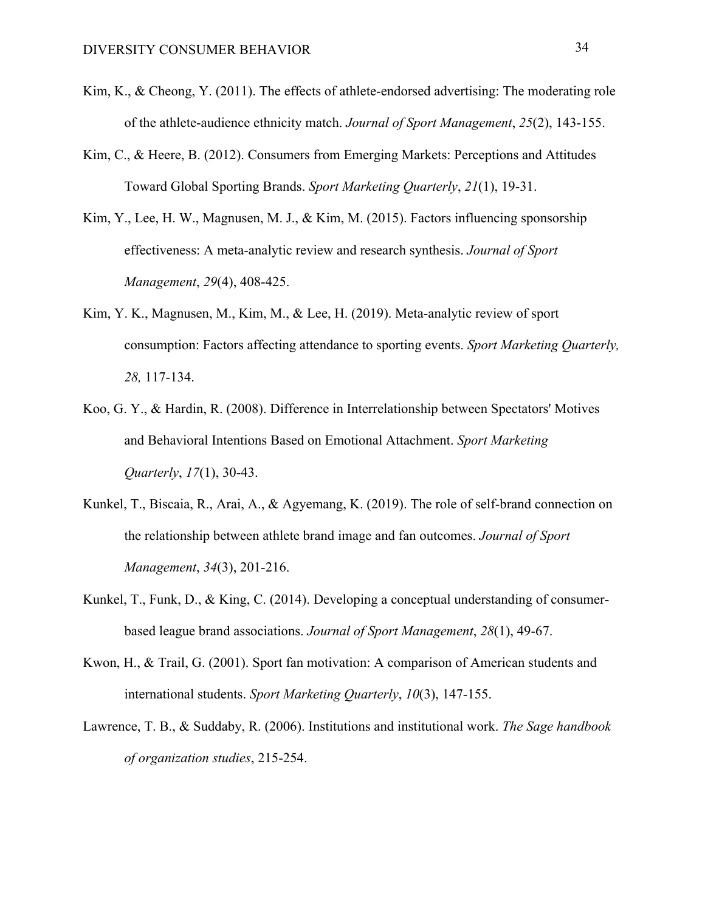- Kim, K., & Cheong, Y. (2011). The effects of athlete-endorsed advertising: The moderating role of the athlete-audience ethnicity match. *Journal of Sport Management*, *25*(2), 143-155.
- Kim, C., & Heere, B. (2012). Consumers from Emerging Markets: Perceptions and Attitudes Toward Global Sporting Brands. *Sport Marketing Quarterly*, *21*(1), 19-31.
- Kim, Y., Lee, H. W., Magnusen, M. J., & Kim, M. (2015). Factors influencing sponsorship effectiveness: A meta-analytic review and research synthesis. *Journal of Sport Management*, *29*(4), 408-425.
- Kim, Y. K., Magnusen, M., Kim, M., & Lee, H. (2019). Meta-analytic review of sport consumption: Factors affecting attendance to sporting events. *Sport Marketing Quarterly, 28,* 117-134.
- Koo, G. Y., & Hardin, R. (2008). Difference in Interrelationship between Spectators' Motives and Behavioral Intentions Based on Emotional Attachment. *Sport Marketing Quarterly*, *17*(1), 30-43.
- Kunkel, T., Biscaia, R., Arai, A., & Agyemang, K. (2019). The role of self-brand connection on the relationship between athlete brand image and fan outcomes. *Journal of Sport Management*, *34*(3), 201-216.
- Kunkel, T., Funk, D., & King, C. (2014). Developing a conceptual understanding of consumerbased league brand associations. *Journal of Sport Management*, *28*(1), 49-67.
- Kwon, H., & Trail, G. (2001). Sport fan motivation: A comparison of American students and international students. *Sport Marketing Quarterly*, *10*(3), 147-155.
- Lawrence, T. B., & Suddaby, R. (2006). Institutions and institutional work. *The Sage handbook of organization studies*, 215-254.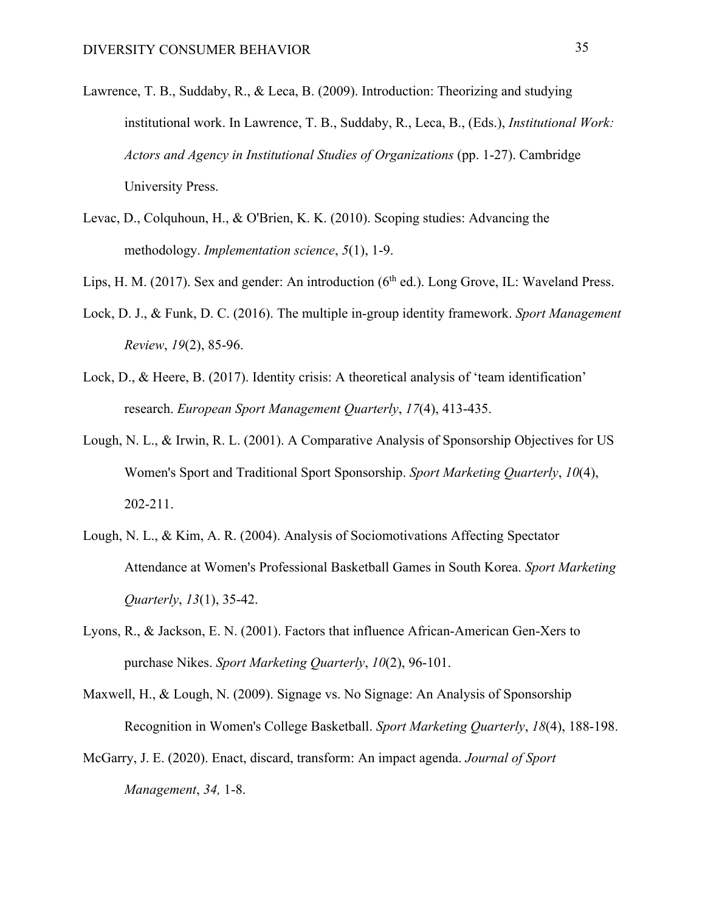- Lawrence, T. B., Suddaby, R., & Leca, B. (2009). Introduction: Theorizing and studying institutional work. In Lawrence, T. B., Suddaby, R., Leca, B., (Eds.), *Institutional Work: Actors and Agency in Institutional Studies of Organizations* (pp. 1-27). Cambridge University Press.
- Levac, D., Colquhoun, H., & O'Brien, K. K. (2010). Scoping studies: Advancing the methodology. *Implementation science*, *5*(1), 1-9.
- Lips, H. M. (2017). Sex and gender: An introduction (6<sup>th</sup> ed.). Long Grove, IL: Waveland Press.
- Lock, D. J., & Funk, D. C. (2016). The multiple in-group identity framework. *Sport Management Review*, *19*(2), 85-96.
- Lock, D., & Heere, B. (2017). Identity crisis: A theoretical analysis of 'team identification' research. *European Sport Management Quarterly*, *17*(4), 413-435.
- Lough, N. L., & Irwin, R. L. (2001). A Comparative Analysis of Sponsorship Objectives for US Women's Sport and Traditional Sport Sponsorship. *Sport Marketing Quarterly*, *10*(4), 202-211.
- Lough, N. L., & Kim, A. R. (2004). Analysis of Sociomotivations Affecting Spectator Attendance at Women's Professional Basketball Games in South Korea. *Sport Marketing Quarterly*, *13*(1), 35-42.
- Lyons, R., & Jackson, E. N. (2001). Factors that influence African-American Gen-Xers to purchase Nikes. *Sport Marketing Quarterly*, *10*(2), 96-101.
- Maxwell, H., & Lough, N. (2009). Signage vs. No Signage: An Analysis of Sponsorship Recognition in Women's College Basketball. *Sport Marketing Quarterly*, *18*(4), 188-198.
- McGarry, J. E. (2020). Enact, discard, transform: An impact agenda. *Journal of Sport Management*, *34,* 1-8.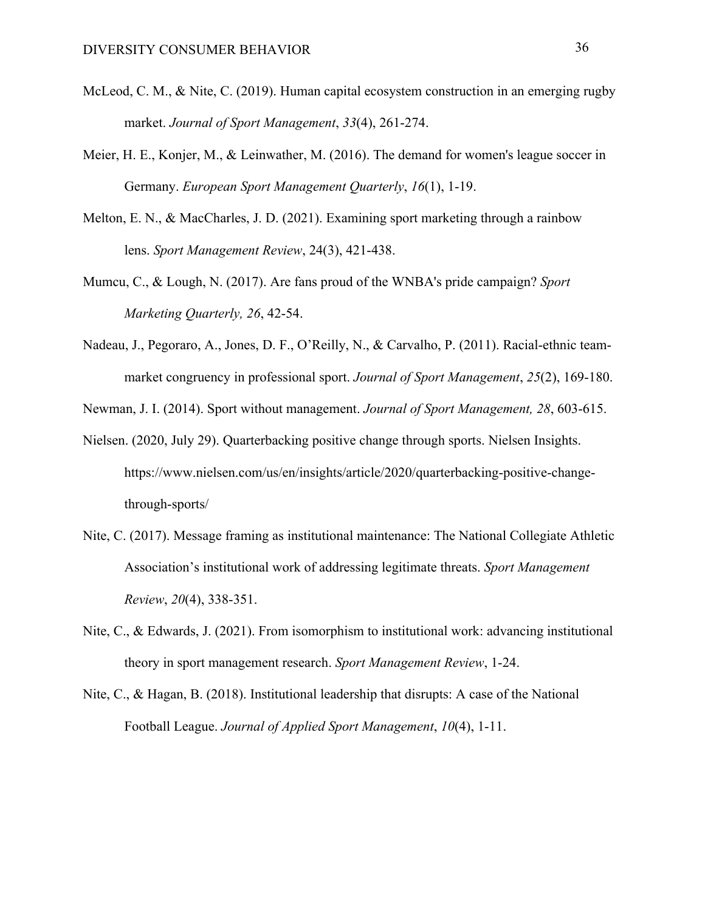- McLeod, C. M., & Nite, C. (2019). Human capital ecosystem construction in an emerging rugby market. *Journal of Sport Management*, *33*(4), 261-274.
- Meier, H. E., Konjer, M., & Leinwather, M. (2016). The demand for women's league soccer in Germany. *European Sport Management Quarterly*, *16*(1), 1-19.
- Melton, E. N., & MacCharles, J. D. (2021). Examining sport marketing through a rainbow lens. *Sport Management Review*, 24(3), 421-438.
- Mumcu, C., & Lough, N. (2017). Are fans proud of the WNBA's pride campaign? *Sport Marketing Quarterly, 26*, 42-54.
- Nadeau, J., Pegoraro, A., Jones, D. F., O'Reilly, N., & Carvalho, P. (2011). Racial-ethnic teammarket congruency in professional sport. *Journal of Sport Management*, *25*(2), 169-180.

Newman, J. I. (2014). Sport without management. *Journal of Sport Management, 28*, 603-615.

- Nielsen. (2020, July 29). Quarterbacking positive change through sports. Nielsen Insights. https://www.nielsen.com/us/en/insights/article/2020/quarterbacking-positive-changethrough-sports/
- Nite, C. (2017). Message framing as institutional maintenance: The National Collegiate Athletic Association's institutional work of addressing legitimate threats. *Sport Management Review*, *20*(4), 338-351.
- Nite, C., & Edwards, J. (2021). From isomorphism to institutional work: advancing institutional theory in sport management research. *Sport Management Review*, 1-24.
- Nite, C., & Hagan, B. (2018). Institutional leadership that disrupts: A case of the National Football League. *Journal of Applied Sport Management*, *10*(4), 1-11.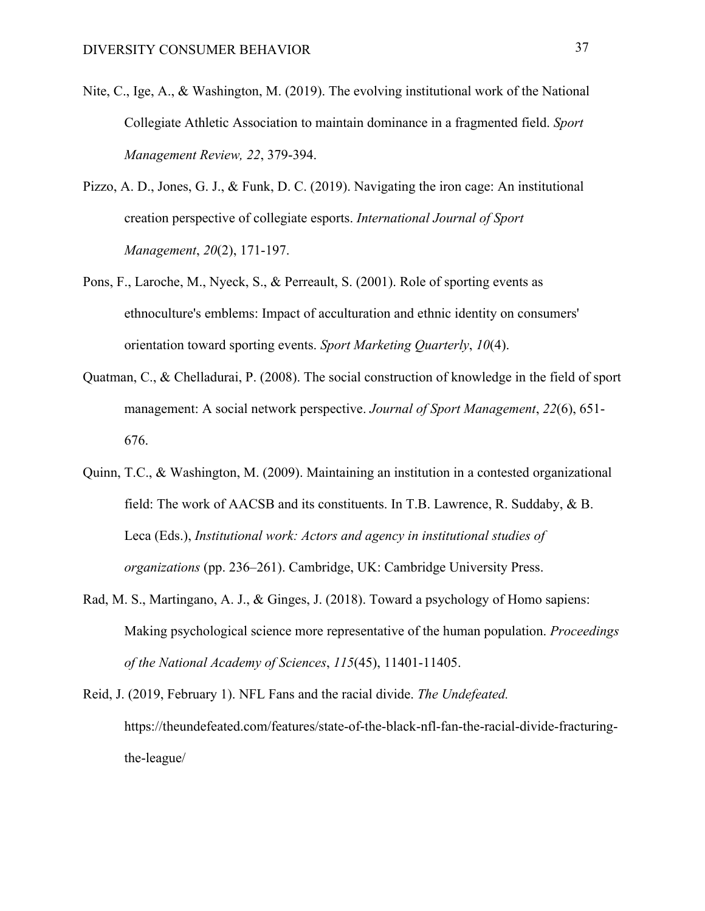- Nite, C., Ige, A., & Washington, M. (2019). The evolving institutional work of the National Collegiate Athletic Association to maintain dominance in a fragmented field. *Sport Management Review, 22*, 379-394.
- Pizzo, A. D., Jones, G. J., & Funk, D. C. (2019). Navigating the iron cage: An institutional creation perspective of collegiate esports. *International Journal of Sport Management*, *20*(2), 171-197.
- Pons, F., Laroche, M., Nyeck, S., & Perreault, S. (2001). Role of sporting events as ethnoculture's emblems: Impact of acculturation and ethnic identity on consumers' orientation toward sporting events. *Sport Marketing Quarterly*, *10*(4).
- Quatman, C., & Chelladurai, P. (2008). The social construction of knowledge in the field of sport management: A social network perspective. *Journal of Sport Management*, *22*(6), 651- 676.
- Quinn, T.C., & Washington, M. (2009). Maintaining an institution in a contested organizational field: The work of AACSB and its constituents. In T.B. Lawrence, R. Suddaby, & B. Leca (Eds.), *Institutional work: Actors and agency in institutional studies of organizations* (pp. 236–261). Cambridge, UK: Cambridge University Press.
- Rad, M. S., Martingano, A. J., & Ginges, J. (2018). Toward a psychology of Homo sapiens: Making psychological science more representative of the human population. *Proceedings of the National Academy of Sciences*, *115*(45), 11401-11405.
- Reid, J. (2019, February 1). NFL Fans and the racial divide. *The Undefeated.* https://theundefeated.com/features/state-of-the-black-nfl-fan-the-racial-divide-fracturingthe-league/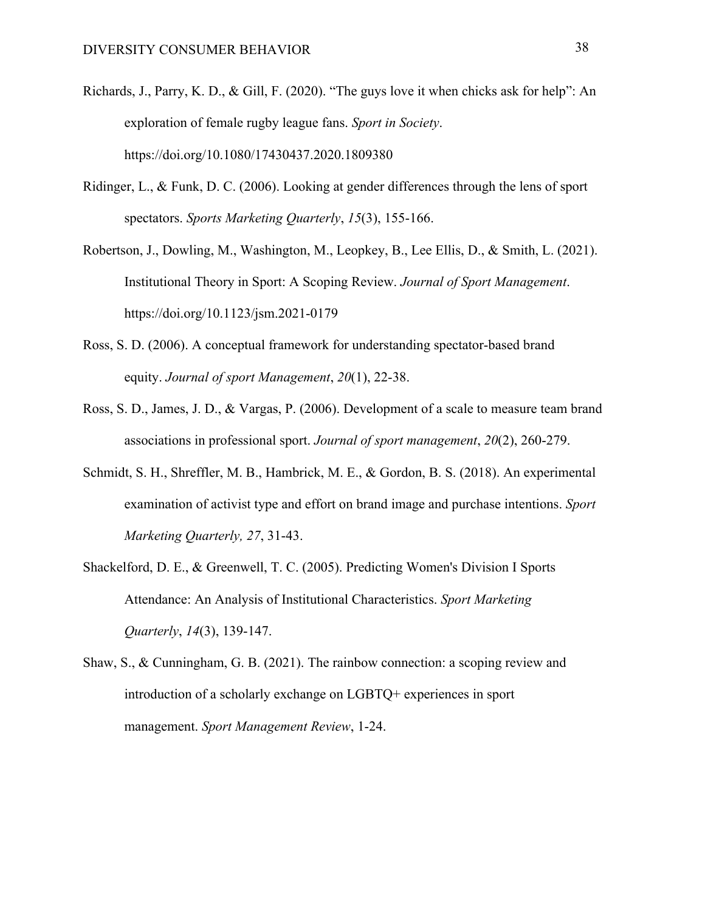- Richards, J., Parry, K. D., & Gill, F. (2020). "The guys love it when chicks ask for help": An exploration of female rugby league fans. *Sport in Society*. https://doi.org/10.1080/17430437.2020.1809380
- Ridinger, L., & Funk, D. C. (2006). Looking at gender differences through the lens of sport spectators. *Sports Marketing Quarterly*, *15*(3), 155-166.
- Robertson, J., Dowling, M., Washington, M., Leopkey, B., Lee Ellis, D., & Smith, L. (2021). Institutional Theory in Sport: A Scoping Review. *Journal of Sport Management*. https://doi.org/10.1123/jsm.2021-0179
- Ross, S. D. (2006). A conceptual framework for understanding spectator-based brand equity. *Journal of sport Management*, *20*(1), 22-38.
- Ross, S. D., James, J. D., & Vargas, P. (2006). Development of a scale to measure team brand associations in professional sport. *Journal of sport management*, *20*(2), 260-279.
- Schmidt, S. H., Shreffler, M. B., Hambrick, M. E., & Gordon, B. S. (2018). An experimental examination of activist type and effort on brand image and purchase intentions. *Sport Marketing Quarterly, 27*, 31-43.
- Shackelford, D. E., & Greenwell, T. C. (2005). Predicting Women's Division I Sports Attendance: An Analysis of Institutional Characteristics. *Sport Marketing Quarterly*, *14*(3), 139-147.
- Shaw, S., & Cunningham, G. B. (2021). The rainbow connection: a scoping review and introduction of a scholarly exchange on LGBTQ+ experiences in sport management. *Sport Management Review*, 1-24.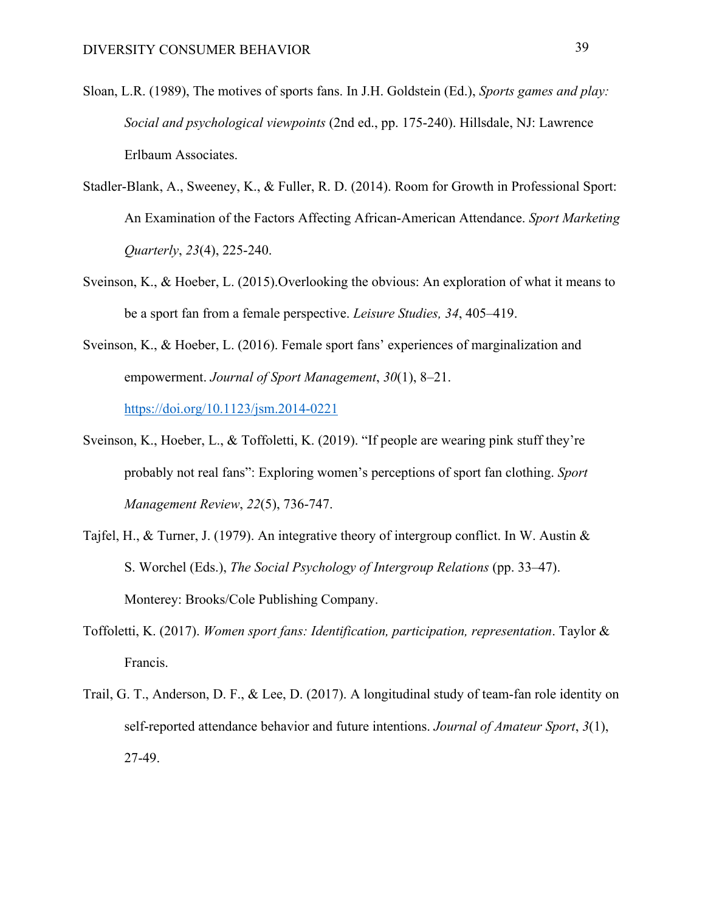- Sloan, L.R. (1989), The motives of sports fans. In J.H. Goldstein (Ed.), *Sports games and play: Social and psychological viewpoints* (2nd ed., pp. 175-240). Hillsdale, NJ: Lawrence Erlbaum Associates.
- Stadler-Blank, A., Sweeney, K., & Fuller, R. D. (2014). Room for Growth in Professional Sport: An Examination of the Factors Affecting African-American Attendance. *Sport Marketing Quarterly*, *23*(4), 225-240.
- Sveinson, K., & Hoeber, L. (2015).Overlooking the obvious: An exploration of what it means to be a sport fan from a female perspective. *Leisure Studies, 34*, 405–419.
- Sveinson, K., & Hoeber, L. (2016). Female sport fans' experiences of marginalization and empowerment. *Journal of Sport Management*, *30*(1), 8–21. https://doi.org/10.1123/jsm.2014-0221
- Sveinson, K., Hoeber, L., & Toffoletti, K. (2019). "If people are wearing pink stuff they're probably not real fans": Exploring women's perceptions of sport fan clothing. *Sport Management Review*, *22*(5), 736-747.
- Tajfel, H., & Turner, J. (1979). An integrative theory of intergroup conflict. In W. Austin & S. Worchel (Eds.), *The Social Psychology of Intergroup Relations* (pp. 33–47). Monterey: Brooks/Cole Publishing Company.
- Toffoletti, K. (2017). *Women sport fans: Identification, participation, representation*. Taylor & Francis.
- Trail, G. T., Anderson, D. F., & Lee, D. (2017). A longitudinal study of team-fan role identity on self-reported attendance behavior and future intentions. *Journal of Amateur Sport*, *3*(1), 27-49.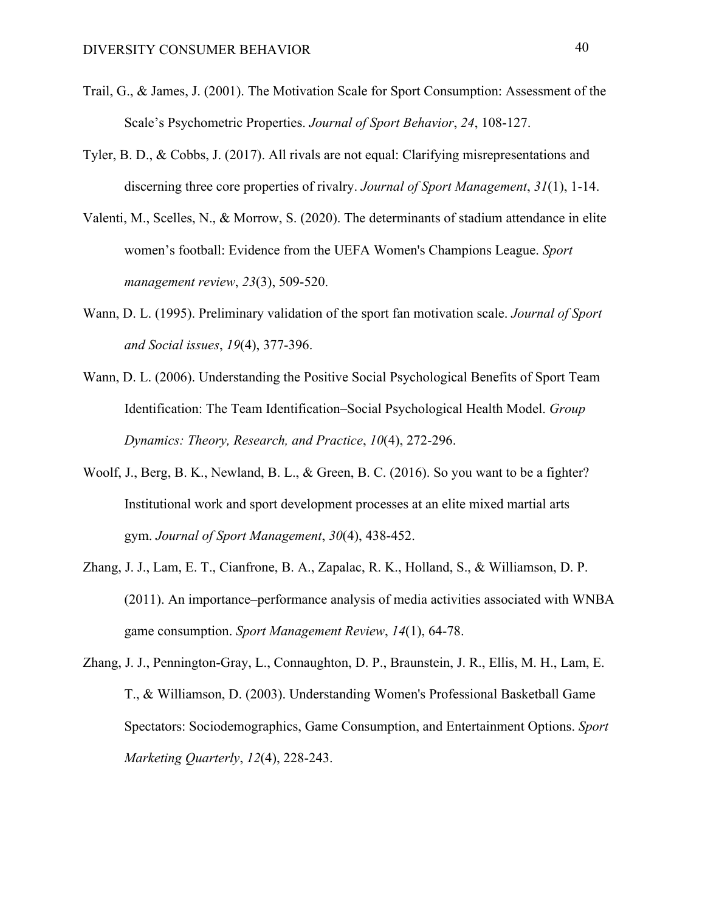- Trail, G., & James, J. (2001). The Motivation Scale for Sport Consumption: Assessment of the Scale's Psychometric Properties. *Journal of Sport Behavior*, *24*, 108-127.
- Tyler, B. D., & Cobbs, J. (2017). All rivals are not equal: Clarifying misrepresentations and discerning three core properties of rivalry. *Journal of Sport Management*, *31*(1), 1-14.
- Valenti, M., Scelles, N., & Morrow, S. (2020). The determinants of stadium attendance in elite women's football: Evidence from the UEFA Women's Champions League. *Sport management review*, *23*(3), 509-520.
- Wann, D. L. (1995). Preliminary validation of the sport fan motivation scale. *Journal of Sport and Social issues*, *19*(4), 377-396.
- Wann, D. L. (2006). Understanding the Positive Social Psychological Benefits of Sport Team Identification: The Team Identification–Social Psychological Health Model. *Group Dynamics: Theory, Research, and Practice*, *10*(4), 272-296.
- Woolf, J., Berg, B. K., Newland, B. L., & Green, B. C. (2016). So you want to be a fighter? Institutional work and sport development processes at an elite mixed martial arts gym. *Journal of Sport Management*, *30*(4), 438-452.
- Zhang, J. J., Lam, E. T., Cianfrone, B. A., Zapalac, R. K., Holland, S., & Williamson, D. P. (2011). An importance–performance analysis of media activities associated with WNBA game consumption. *Sport Management Review*, *14*(1), 64-78.
- Zhang, J. J., Pennington-Gray, L., Connaughton, D. P., Braunstein, J. R., Ellis, M. H., Lam, E. T., & Williamson, D. (2003). Understanding Women's Professional Basketball Game Spectators: Sociodemographics, Game Consumption, and Entertainment Options. *Sport Marketing Quarterly*, *12*(4), 228-243.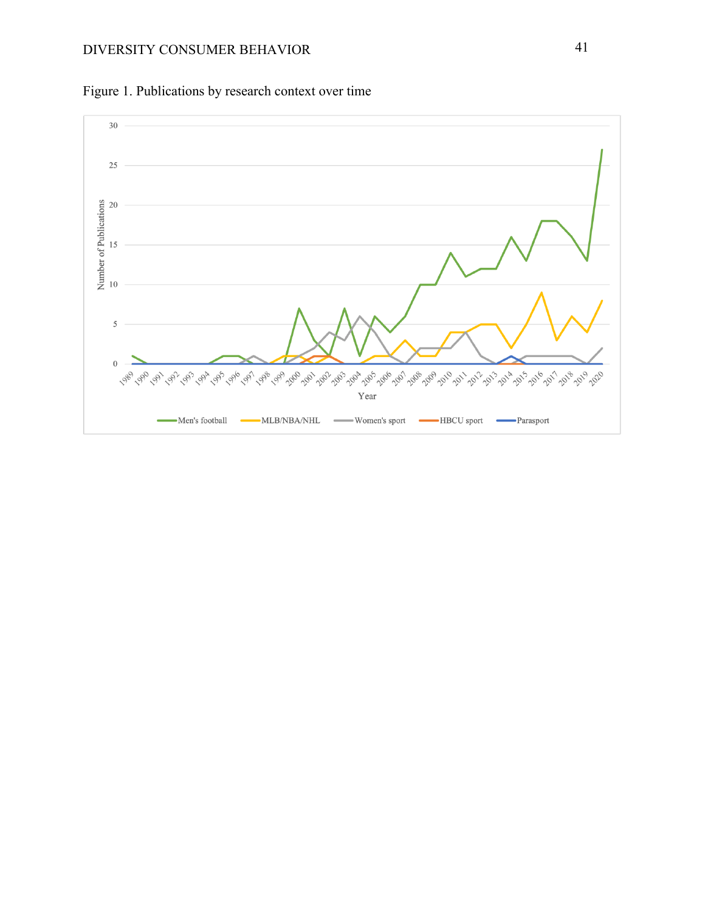# DIVERSITY CONSUMER BEHAVIOR 41